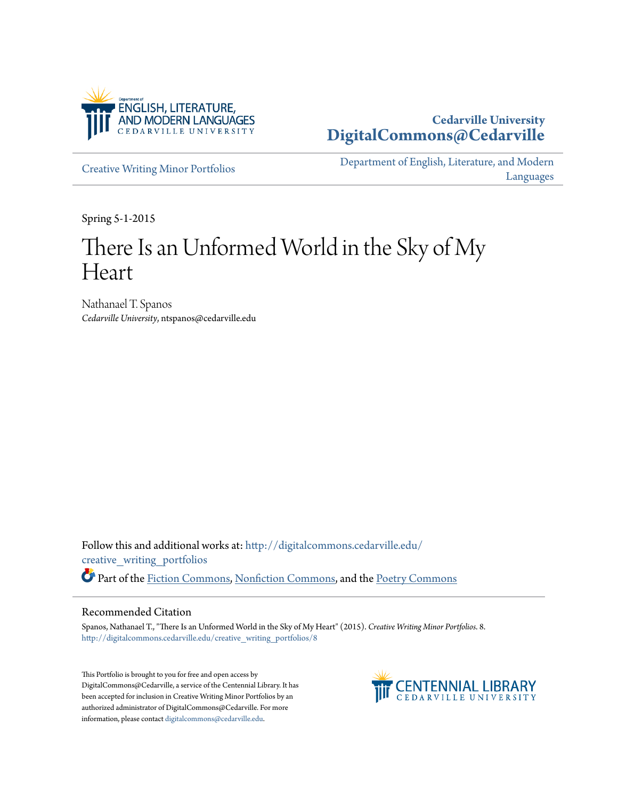

# **Cedarville University [DigitalCommons@Cedarville](http://digitalcommons.cedarville.edu?utm_source=digitalcommons.cedarville.edu%2Fcreative_writing_portfolios%2F8&utm_medium=PDF&utm_campaign=PDFCoverPages)**

[Creative Writing Minor Portfolios](http://digitalcommons.cedarville.edu/creative_writing_portfolios?utm_source=digitalcommons.cedarville.edu%2Fcreative_writing_portfolios%2F8&utm_medium=PDF&utm_campaign=PDFCoverPages)

[Department of English, Literature, and Modern](http://digitalcommons.cedarville.edu/english_literature_modern_languages?utm_source=digitalcommons.cedarville.edu%2Fcreative_writing_portfolios%2F8&utm_medium=PDF&utm_campaign=PDFCoverPages) [Languages](http://digitalcommons.cedarville.edu/english_literature_modern_languages?utm_source=digitalcommons.cedarville.edu%2Fcreative_writing_portfolios%2F8&utm_medium=PDF&utm_campaign=PDFCoverPages)

Spring 5-1-2015

# There Is an Unformed World in the Sky of My Heart

Nathanael T. Spanos *Cedarville University*, ntspanos@cedarville.edu

Follow this and additional works at: [http://digitalcommons.cedarville.edu/](http://digitalcommons.cedarville.edu/creative_writing_portfolios?utm_source=digitalcommons.cedarville.edu%2Fcreative_writing_portfolios%2F8&utm_medium=PDF&utm_campaign=PDFCoverPages) [creative\\_writing\\_portfolios](http://digitalcommons.cedarville.edu/creative_writing_portfolios?utm_source=digitalcommons.cedarville.edu%2Fcreative_writing_portfolios%2F8&utm_medium=PDF&utm_campaign=PDFCoverPages) Part of the [Fiction Commons](http://network.bepress.com/hgg/discipline/1151?utm_source=digitalcommons.cedarville.edu%2Fcreative_writing_portfolios%2F8&utm_medium=PDF&utm_campaign=PDFCoverPages), [Nonfiction Commons](http://network.bepress.com/hgg/discipline/1152?utm_source=digitalcommons.cedarville.edu%2Fcreative_writing_portfolios%2F8&utm_medium=PDF&utm_campaign=PDFCoverPages), and the [Poetry Commons](http://network.bepress.com/hgg/discipline/1153?utm_source=digitalcommons.cedarville.edu%2Fcreative_writing_portfolios%2F8&utm_medium=PDF&utm_campaign=PDFCoverPages)

#### Recommended Citation

Spanos, Nathanael T., "There Is an Unformed World in the Sky of My Heart" (2015). *Creative Writing Minor Portfolios*. 8. [http://digitalcommons.cedarville.edu/creative\\_writing\\_portfolios/8](http://digitalcommons.cedarville.edu/creative_writing_portfolios/8?utm_source=digitalcommons.cedarville.edu%2Fcreative_writing_portfolios%2F8&utm_medium=PDF&utm_campaign=PDFCoverPages)

This Portfolio is brought to you for free and open access by DigitalCommons@Cedarville, a service of the Centennial Library. It has been accepted for inclusion in Creative Writing Minor Portfolios by an authorized administrator of DigitalCommons@Cedarville. For more information, please contact [digitalcommons@cedarville.edu.](mailto:digitalcommons@cedarville.edu)

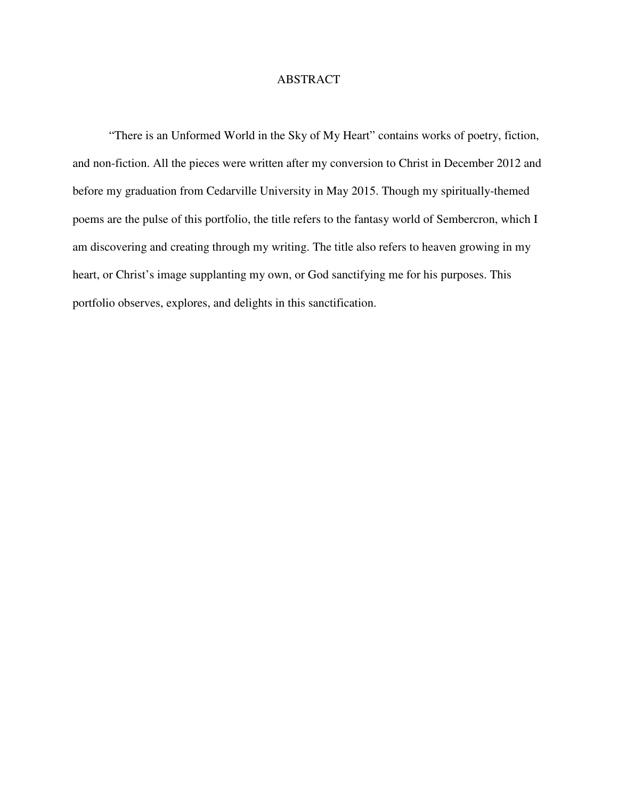## ABSTRACT

 "There is an Unformed World in the Sky of My Heart" contains works of poetry, fiction, and non-fiction. All the pieces were written after my conversion to Christ in December 2012 and before my graduation from Cedarville University in May 2015. Though my spiritually-themed poems are the pulse of this portfolio, the title refers to the fantasy world of Sembercron, which I am discovering and creating through my writing. The title also refers to heaven growing in my heart, or Christ's image supplanting my own, or God sanctifying me for his purposes. This portfolio observes, explores, and delights in this sanctification.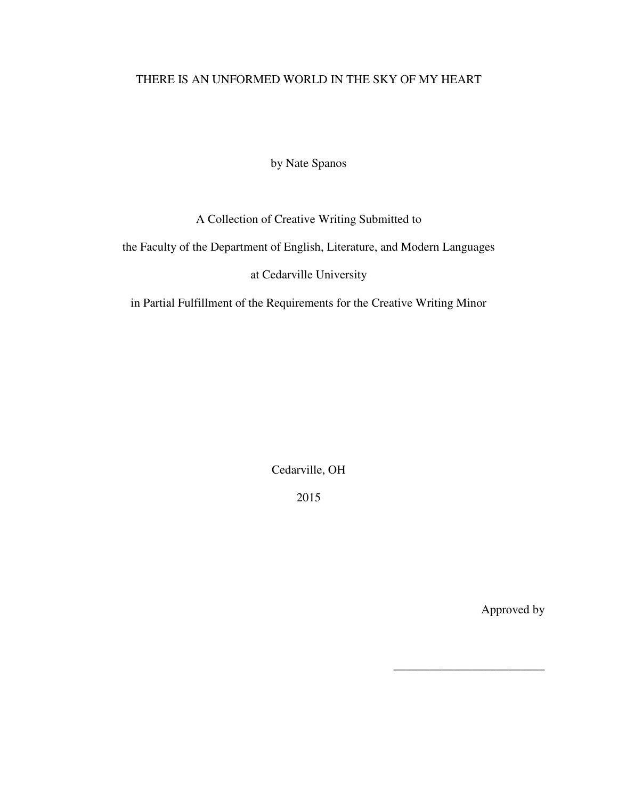# THERE IS AN UNFORMED WORLD IN THE SKY OF MY HEART

by Nate Spanos

# A Collection of Creative Writing Submitted to

the Faculty of the Department of English, Literature, and Modern Languages

# at Cedarville University

in Partial Fulfillment of the Requirements for the Creative Writing Minor

Cedarville, OH

2015

Approved by

\_\_\_\_\_\_\_\_\_\_\_\_\_\_\_\_\_\_\_\_\_\_\_\_\_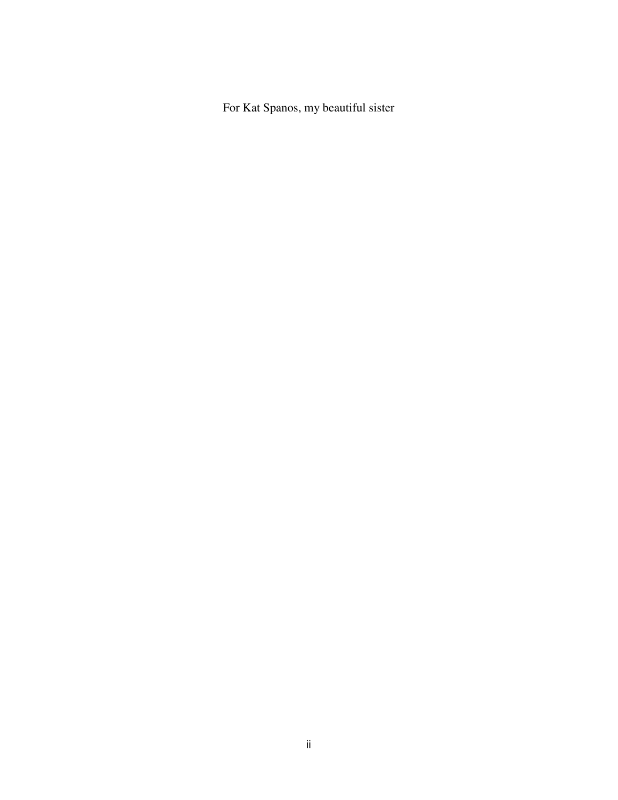For Kat Spanos, my beautiful sister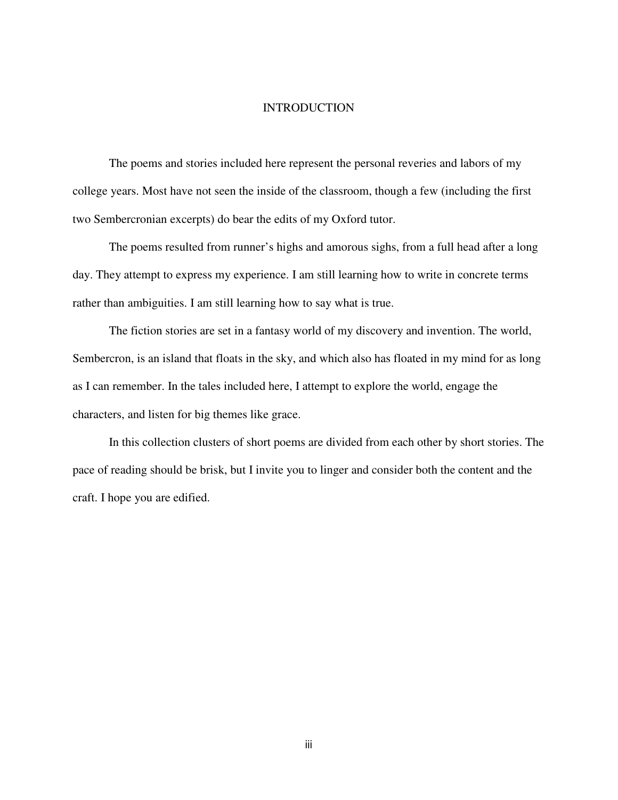## **INTRODUCTION**

 The poems and stories included here represent the personal reveries and labors of my college years. Most have not seen the inside of the classroom, though a few (including the first two Sembercronian excerpts) do bear the edits of my Oxford tutor.

 The poems resulted from runner's highs and amorous sighs, from a full head after a long day. They attempt to express my experience. I am still learning how to write in concrete terms rather than ambiguities. I am still learning how to say what is true.

 The fiction stories are set in a fantasy world of my discovery and invention. The world, Sembercron, is an island that floats in the sky, and which also has floated in my mind for as long as I can remember. In the tales included here, I attempt to explore the world, engage the characters, and listen for big themes like grace.

 In this collection clusters of short poems are divided from each other by short stories. The pace of reading should be brisk, but I invite you to linger and consider both the content and the craft. I hope you are edified.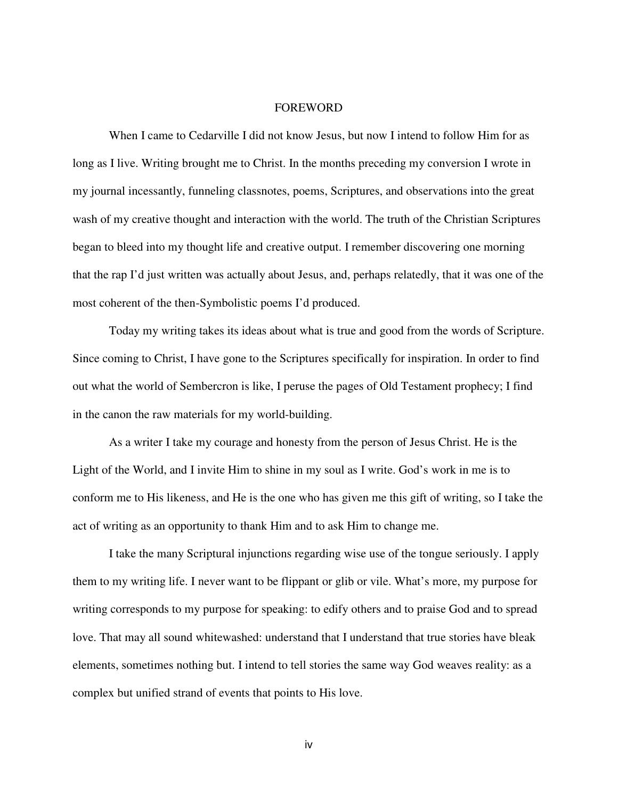#### **FOREWORD**

 When I came to Cedarville I did not know Jesus, but now I intend to follow Him for as long as I live. Writing brought me to Christ. In the months preceding my conversion I wrote in my journal incessantly, funneling classnotes, poems, Scriptures, and observations into the great wash of my creative thought and interaction with the world. The truth of the Christian Scriptures began to bleed into my thought life and creative output. I remember discovering one morning that the rap I'd just written was actually about Jesus, and, perhaps relatedly, that it was one of the most coherent of the then-Symbolistic poems I'd produced.

 Today my writing takes its ideas about what is true and good from the words of Scripture. Since coming to Christ, I have gone to the Scriptures specifically for inspiration. In order to find out what the world of Sembercron is like, I peruse the pages of Old Testament prophecy; I find in the canon the raw materials for my world-building.

 As a writer I take my courage and honesty from the person of Jesus Christ. He is the Light of the World, and I invite Him to shine in my soul as I write. God's work in me is to conform me to His likeness, and He is the one who has given me this gift of writing, so I take the act of writing as an opportunity to thank Him and to ask Him to change me.

 I take the many Scriptural injunctions regarding wise use of the tongue seriously. I apply them to my writing life. I never want to be flippant or glib or vile. What's more, my purpose for writing corresponds to my purpose for speaking: to edify others and to praise God and to spread love. That may all sound whitewashed: understand that I understand that true stories have bleak elements, sometimes nothing but. I intend to tell stories the same way God weaves reality: as a complex but unified strand of events that points to His love.

iv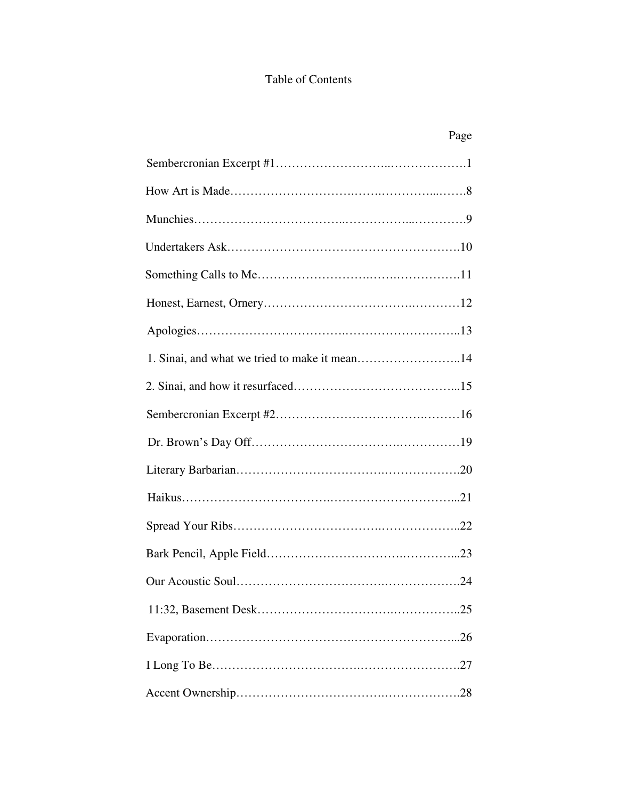# Table of Contents

| 1. Sinai, and what we tried to make it mean14 |
|-----------------------------------------------|
|                                               |
|                                               |
|                                               |
|                                               |
|                                               |
|                                               |
|                                               |
|                                               |
|                                               |
|                                               |
|                                               |
|                                               |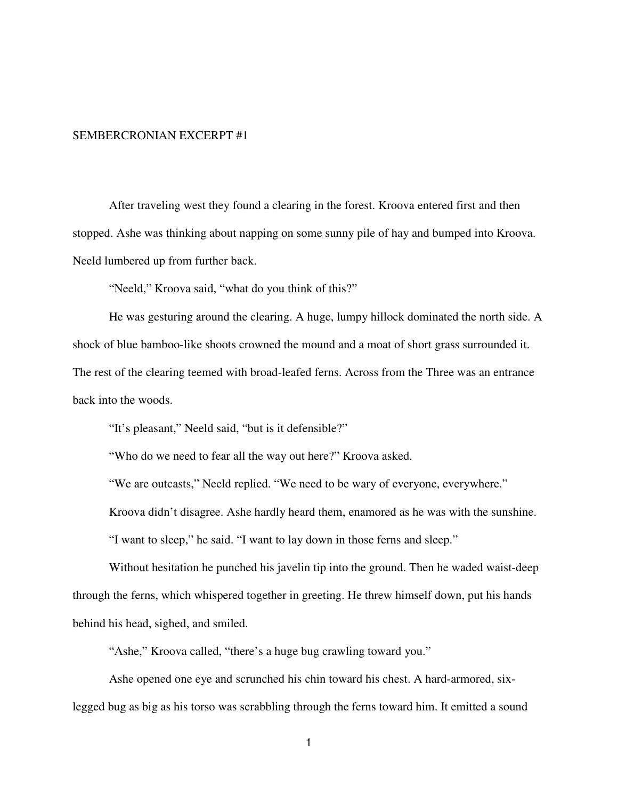#### SEMBERCRONIAN EXCERPT #1

After traveling west they found a clearing in the forest. Kroova entered first and then stopped. Ashe was thinking about napping on some sunny pile of hay and bumped into Kroova. Neeld lumbered up from further back.

"Neeld," Kroova said, "what do you think of this?"

 He was gesturing around the clearing. A huge, lumpy hillock dominated the north side. A shock of blue bamboo-like shoots crowned the mound and a moat of short grass surrounded it. The rest of the clearing teemed with broad-leafed ferns. Across from the Three was an entrance back into the woods.

"It's pleasant," Neeld said, "but is it defensible?"

"Who do we need to fear all the way out here?" Kroova asked.

"We are outcasts," Neeld replied. "We need to be wary of everyone, everywhere."

Kroova didn't disagree. Ashe hardly heard them, enamored as he was with the sunshine.

"I want to sleep," he said. "I want to lay down in those ferns and sleep."

 Without hesitation he punched his javelin tip into the ground. Then he waded waist-deep through the ferns, which whispered together in greeting. He threw himself down, put his hands behind his head, sighed, and smiled.

"Ashe," Kroova called, "there's a huge bug crawling toward you."

 Ashe opened one eye and scrunched his chin toward his chest. A hard-armored, sixlegged bug as big as his torso was scrabbling through the ferns toward him. It emitted a sound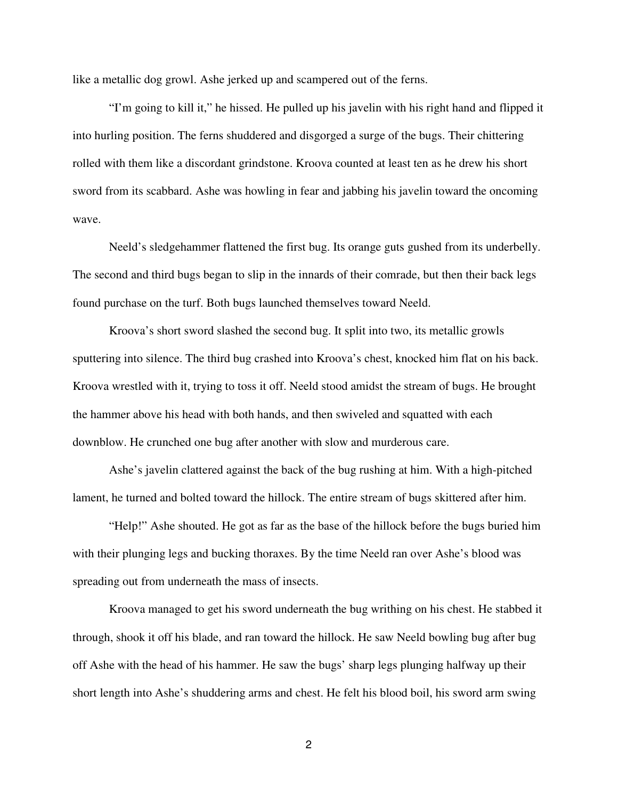like a metallic dog growl. Ashe jerked up and scampered out of the ferns.

 "I'm going to kill it," he hissed. He pulled up his javelin with his right hand and flipped it into hurling position. The ferns shuddered and disgorged a surge of the bugs. Their chittering rolled with them like a discordant grindstone. Kroova counted at least ten as he drew his short sword from its scabbard. Ashe was howling in fear and jabbing his javelin toward the oncoming wave.

 Neeld's sledgehammer flattened the first bug. Its orange guts gushed from its underbelly. The second and third bugs began to slip in the innards of their comrade, but then their back legs found purchase on the turf. Both bugs launched themselves toward Neeld.

 Kroova's short sword slashed the second bug. It split into two, its metallic growls sputtering into silence. The third bug crashed into Kroova's chest, knocked him flat on his back. Kroova wrestled with it, trying to toss it off. Neeld stood amidst the stream of bugs. He brought the hammer above his head with both hands, and then swiveled and squatted with each downblow. He crunched one bug after another with slow and murderous care.

 Ashe's javelin clattered against the back of the bug rushing at him. With a high-pitched lament, he turned and bolted toward the hillock. The entire stream of bugs skittered after him.

 "Help!" Ashe shouted. He got as far as the base of the hillock before the bugs buried him with their plunging legs and bucking thoraxes. By the time Neeld ran over Ashe's blood was spreading out from underneath the mass of insects.

 Kroova managed to get his sword underneath the bug writhing on his chest. He stabbed it through, shook it off his blade, and ran toward the hillock. He saw Neeld bowling bug after bug off Ashe with the head of his hammer. He saw the bugs' sharp legs plunging halfway up their short length into Ashe's shuddering arms and chest. He felt his blood boil, his sword arm swing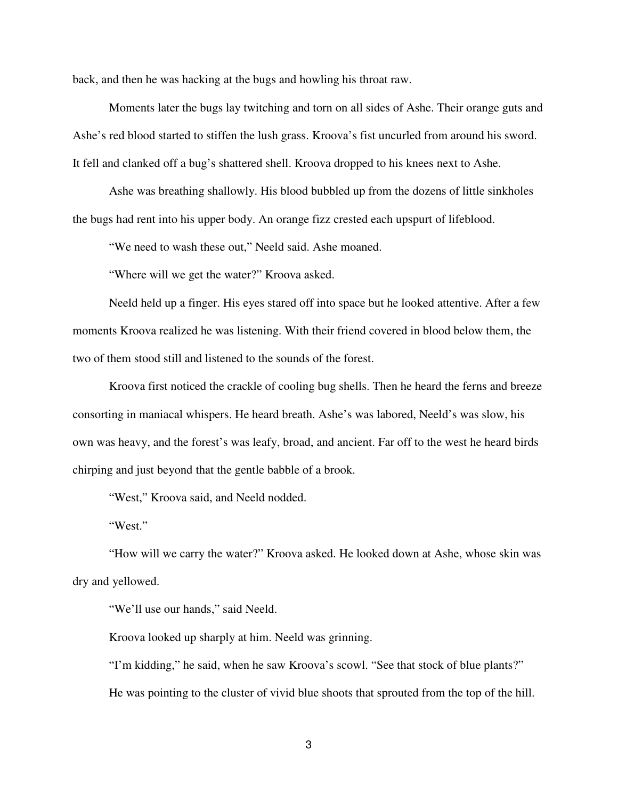back, and then he was hacking at the bugs and howling his throat raw.

 Moments later the bugs lay twitching and torn on all sides of Ashe. Their orange guts and Ashe's red blood started to stiffen the lush grass. Kroova's fist uncurled from around his sword. It fell and clanked off a bug's shattered shell. Kroova dropped to his knees next to Ashe.

 Ashe was breathing shallowly. His blood bubbled up from the dozens of little sinkholes the bugs had rent into his upper body. An orange fizz crested each upspurt of lifeblood.

"We need to wash these out," Neeld said. Ashe moaned.

"Where will we get the water?" Kroova asked.

Neeld held up a finger. His eyes stared off into space but he looked attentive. After a few moments Kroova realized he was listening. With their friend covered in blood below them, the two of them stood still and listened to the sounds of the forest.

Kroova first noticed the crackle of cooling bug shells. Then he heard the ferns and breeze consorting in maniacal whispers. He heard breath. Ashe's was labored, Neeld's was slow, his own was heavy, and the forest's was leafy, broad, and ancient. Far off to the west he heard birds chirping and just beyond that the gentle babble of a brook.

"West," Kroova said, and Neeld nodded.

"West."

"How will we carry the water?" Kroova asked. He looked down at Ashe, whose skin was dry and yellowed.

"We'll use our hands," said Neeld.

Kroova looked up sharply at him. Neeld was grinning.

"I'm kidding," he said, when he saw Kroova's scowl. "See that stock of blue plants?" He was pointing to the cluster of vivid blue shoots that sprouted from the top of the hill.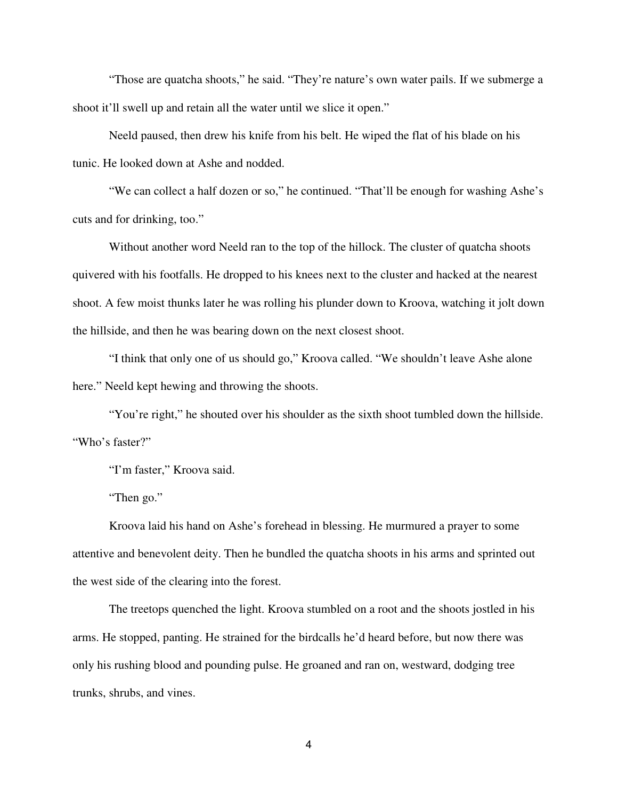"Those are quatcha shoots," he said. "They're nature's own water pails. If we submerge a shoot it'll swell up and retain all the water until we slice it open."

Neeld paused, then drew his knife from his belt. He wiped the flat of his blade on his tunic. He looked down at Ashe and nodded.

"We can collect a half dozen or so," he continued. "That'll be enough for washing Ashe's cuts and for drinking, too."

 Without another word Neeld ran to the top of the hillock. The cluster of quatcha shoots quivered with his footfalls. He dropped to his knees next to the cluster and hacked at the nearest shoot. A few moist thunks later he was rolling his plunder down to Kroova, watching it jolt down the hillside, and then he was bearing down on the next closest shoot.

 "I think that only one of us should go," Kroova called. "We shouldn't leave Ashe alone here." Neeld kept hewing and throwing the shoots.

"You're right," he shouted over his shoulder as the sixth shoot tumbled down the hillside. "Who's faster?"

"I'm faster," Kroova said.

"Then go."

 Kroova laid his hand on Ashe's forehead in blessing. He murmured a prayer to some attentive and benevolent deity. Then he bundled the quatcha shoots in his arms and sprinted out the west side of the clearing into the forest.

 The treetops quenched the light. Kroova stumbled on a root and the shoots jostled in his arms. He stopped, panting. He strained for the birdcalls he'd heard before, but now there was only his rushing blood and pounding pulse. He groaned and ran on, westward, dodging tree trunks, shrubs, and vines.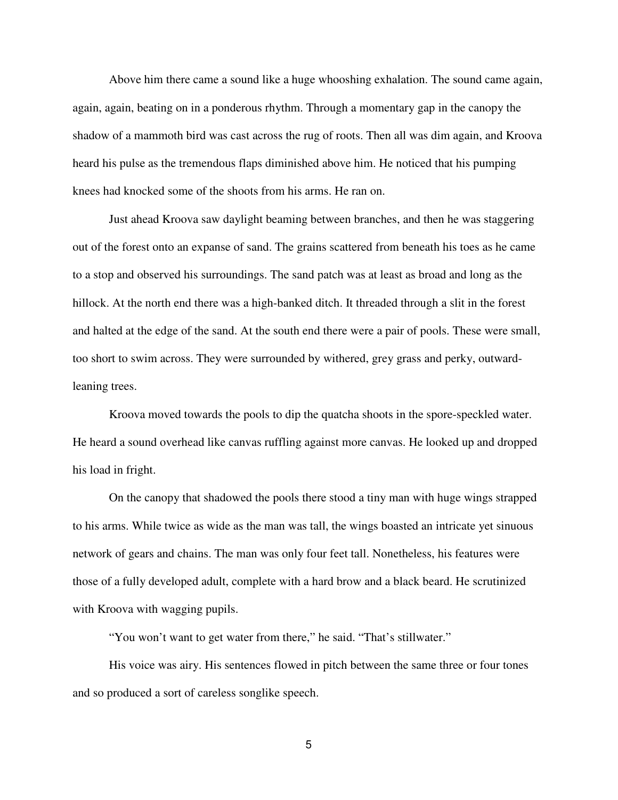Above him there came a sound like a huge whooshing exhalation. The sound came again, again, again, beating on in a ponderous rhythm. Through a momentary gap in the canopy the shadow of a mammoth bird was cast across the rug of roots. Then all was dim again, and Kroova heard his pulse as the tremendous flaps diminished above him. He noticed that his pumping knees had knocked some of the shoots from his arms. He ran on.

 Just ahead Kroova saw daylight beaming between branches, and then he was staggering out of the forest onto an expanse of sand. The grains scattered from beneath his toes as he came to a stop and observed his surroundings. The sand patch was at least as broad and long as the hillock. At the north end there was a high-banked ditch. It threaded through a slit in the forest and halted at the edge of the sand. At the south end there were a pair of pools. These were small, too short to swim across. They were surrounded by withered, grey grass and perky, outwardleaning trees.

Kroova moved towards the pools to dip the quatcha shoots in the spore-speckled water. He heard a sound overhead like canvas ruffling against more canvas. He looked up and dropped his load in fright.

 On the canopy that shadowed the pools there stood a tiny man with huge wings strapped to his arms. While twice as wide as the man was tall, the wings boasted an intricate yet sinuous network of gears and chains. The man was only four feet tall. Nonetheless, his features were those of a fully developed adult, complete with a hard brow and a black beard. He scrutinized with Kroova with wagging pupils.

"You won't want to get water from there," he said. "That's stillwater."

His voice was airy. His sentences flowed in pitch between the same three or four tones and so produced a sort of careless songlike speech.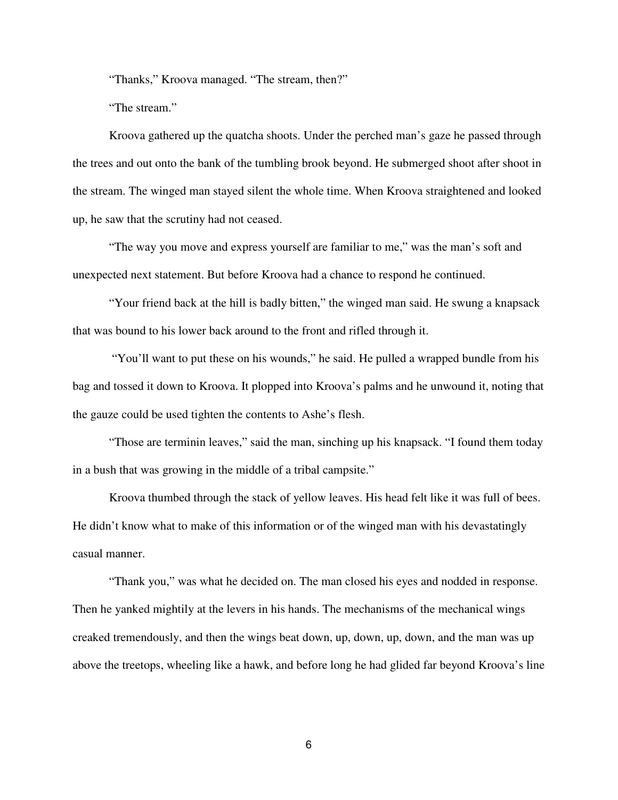"Thanks," Kroova managed. "The stream, then?"

"The stream."

Kroova gathered up the quatcha shoots. Under the perched man's gaze he passed through the trees and out onto the bank of the tumbling brook beyond. He submerged shoot after shoot in the stream. The winged man stayed silent the whole time. When Kroova straightened and looked up, he saw that the scrutiny had not ceased.

"The way you move and express yourself are familiar to me," was the man's soft and unexpected next statement. But before Kroova had a chance to respond he continued.

"Your friend back at the hill is badly bitten," the winged man said. He swung a knapsack that was bound to his lower back around to the front and rifled through it.

 "You'll want to put these on his wounds," he said. He pulled a wrapped bundle from his bag and tossed it down to Kroova. It plopped into Kroova's palms and he unwound it, noting that the gauze could be used tighten the contents to Ashe's flesh.

 "Those are terminin leaves," said the man, sinching up his knapsack. "I found them today in a bush that was growing in the middle of a tribal campsite."

 Kroova thumbed through the stack of yellow leaves. His head felt like it was full of bees. He didn't know what to make of this information or of the winged man with his devastatingly casual manner.

 "Thank you," was what he decided on. The man closed his eyes and nodded in response. Then he yanked mightily at the levers in his hands. The mechanisms of the mechanical wings creaked tremendously, and then the wings beat down, up, down, up, down, and the man was up above the treetops, wheeling like a hawk, and before long he had glided far beyond Kroova's line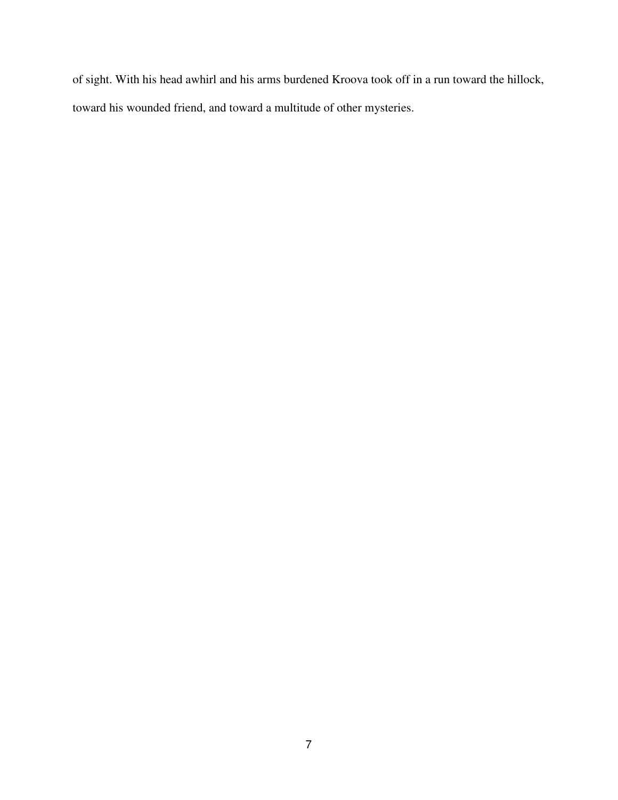of sight. With his head awhirl and his arms burdened Kroova took off in a run toward the hillock, toward his wounded friend, and toward a multitude of other mysteries.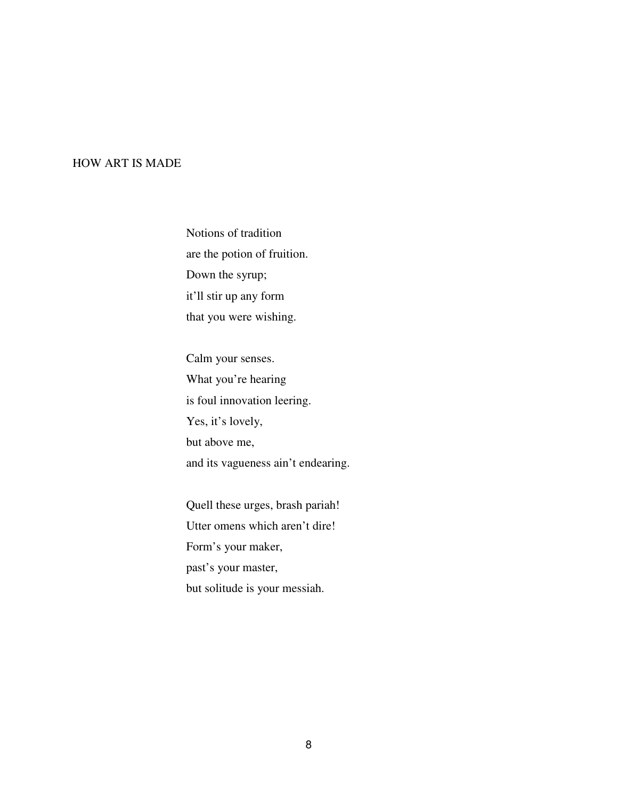## HOW ART IS MADE

Notions of tradition are the potion of fruition. Down the syrup; it'll stir up any form that you were wishing.

Calm your senses. What you're hearing is foul innovation leering. Yes, it's lovely, but above me, and its vagueness ain't endearing.

Quell these urges, brash pariah! Utter omens which aren't dire! Form's your maker, past's your master, but solitude is your messiah.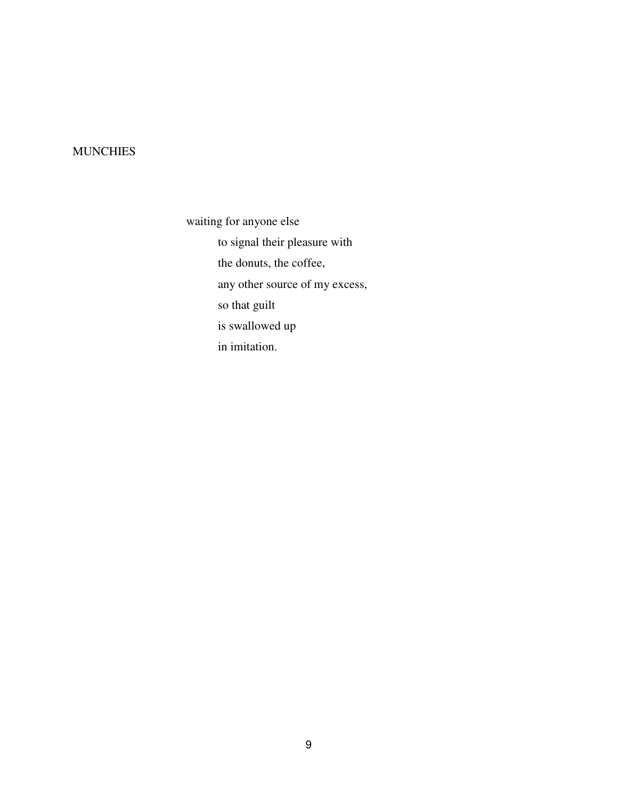# **MUNCHIES**

waiting for anyone else to signal their pleasure with the donuts, the coffee, any other source of my excess, so that guilt is swallowed up in imitation.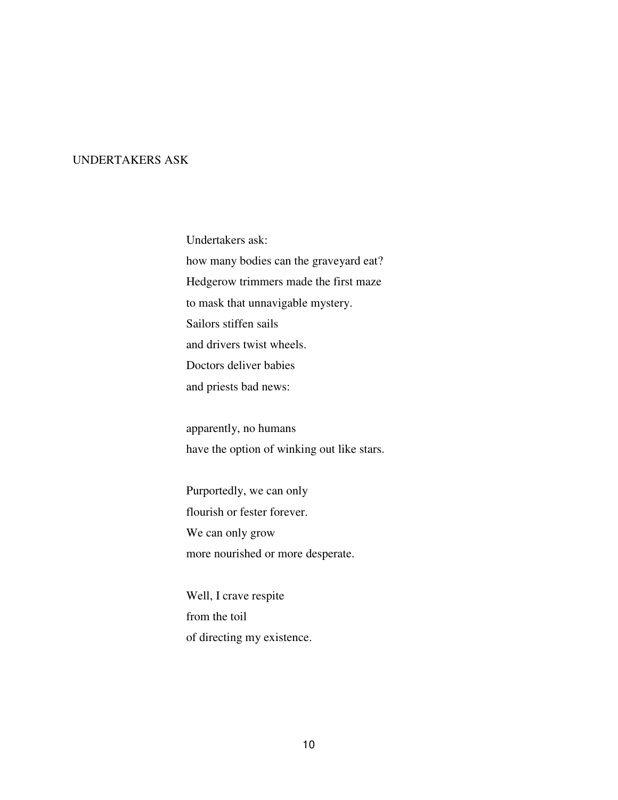## UNDERTAKERS ASK

Undertakers ask: how many bodies can the graveyard eat? Hedgerow trimmers made the first maze to mask that unnavigable mystery. Sailors stiffen sails and drivers twist wheels. Doctors deliver babies and priests bad news:

apparently, no humans have the option of winking out like stars.

Purportedly, we can only flourish or fester forever. We can only grow more nourished or more desperate.

Well, I crave respite from the toil of directing my existence.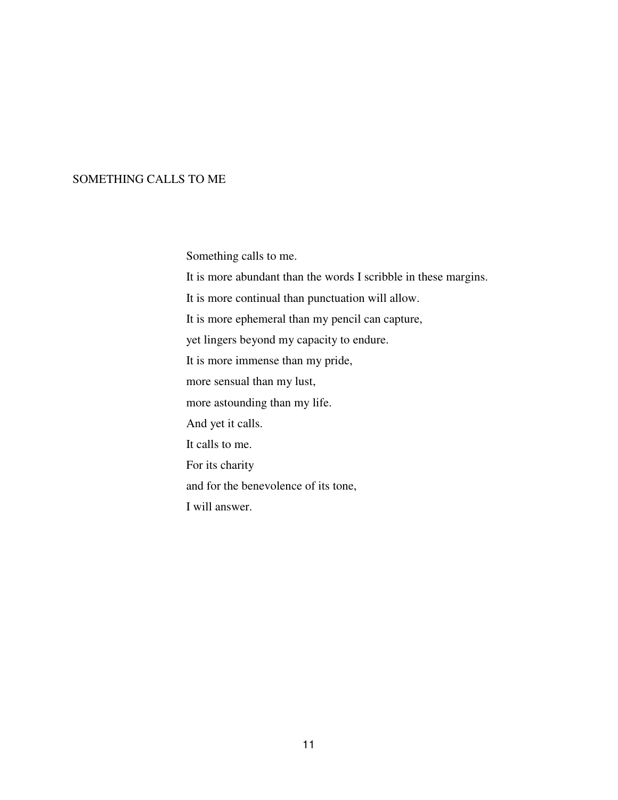# SOMETHING CALLS TO ME

Something calls to me.

It is more abundant than the words I scribble in these margins.

It is more continual than punctuation will allow.

It is more ephemeral than my pencil can capture,

yet lingers beyond my capacity to endure.

It is more immense than my pride,

more sensual than my lust,

more astounding than my life.

And yet it calls.

It calls to me.

For its charity

and for the benevolence of its tone,

I will answer.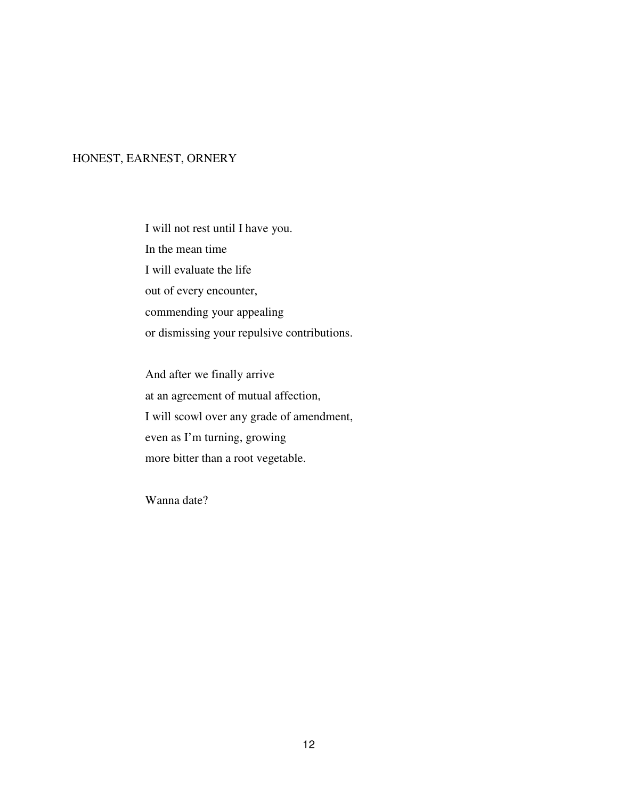# HONEST, EARNEST, ORNERY

I will not rest until I have you. In the mean time I will evaluate the life out of every encounter, commending your appealing or dismissing your repulsive contributions.

And after we finally arrive at an agreement of mutual affection, I will scowl over any grade of amendment, even as I'm turning, growing more bitter than a root vegetable.

Wanna date?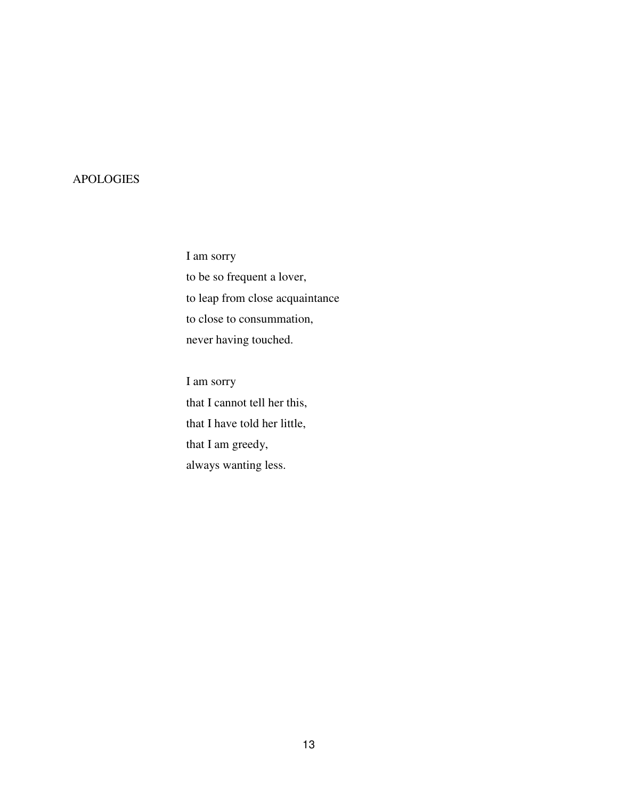# APOLOGIES

I am sorry to be so frequent a lover, to leap from close acquaintance to close to consummation, never having touched.

I am sorry that I cannot tell her this, that I have told her little, that I am greedy, always wanting less.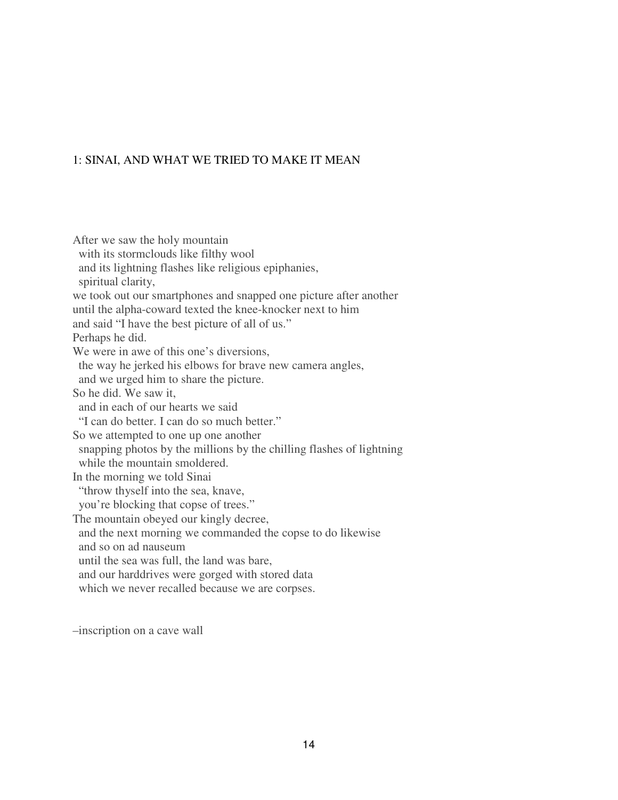## 1: SINAI, AND WHAT WE TRIED TO MAKE IT MEAN

After we saw the holy mountain with its stormclouds like filthy wool and its lightning flashes like religious epiphanies, spiritual clarity, we took out our smartphones and snapped one picture after another until the alpha-coward texted the knee-knocker next to him and said "I have the best picture of all of us." Perhaps he did. We were in awe of this one's diversions. the way he jerked his elbows for brave new camera angles, and we urged him to share the picture. So he did. We saw it, and in each of our hearts we said "I can do better. I can do so much better." So we attempted to one up one another snapping photos by the millions by the chilling flashes of lightning while the mountain smoldered. In the morning we told Sinai "throw thyself into the sea, knave, you're blocking that copse of trees." The mountain obeyed our kingly decree, and the next morning we commanded the copse to do likewise and so on ad nauseum until the sea was full, the land was bare, and our harddrives were gorged with stored data which we never recalled because we are corpses.

–inscription on a cave wall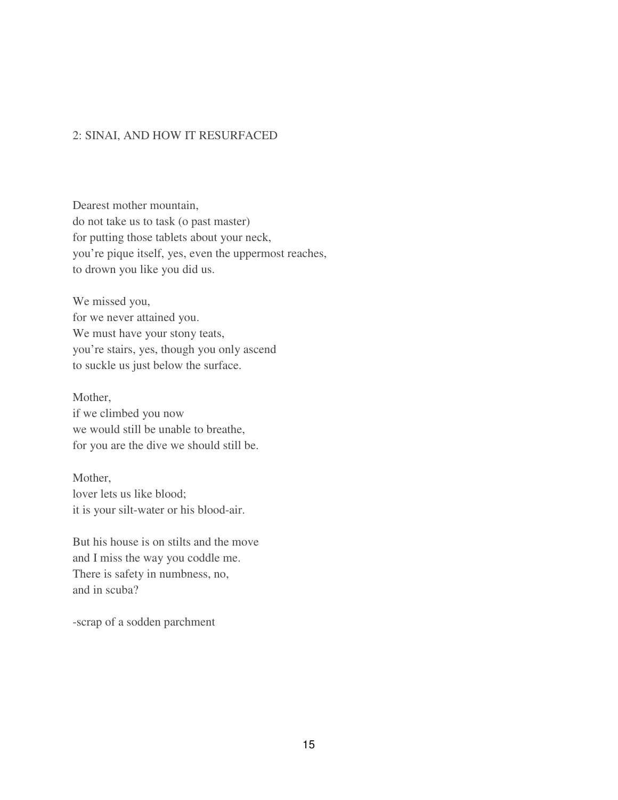## 2: SINAI, AND HOW IT RESURFACED

Dearest mother mountain, do not take us to task (o past master) for putting those tablets about your neck, you're pique itself, yes, even the uppermost reaches, to drown you like you did us.

We missed you, for we never attained you. We must have your stony teats, you're stairs, yes, though you only ascend to suckle us just below the surface.

Mother, if we climbed you now we would still be unable to breathe, for you are the dive we should still be.

Mother, lover lets us like blood; it is your silt-water or his blood-air.

But his house is on stilts and the move and I miss the way you coddle me. There is safety in numbness, no, and in scuba?

-scrap of a sodden parchment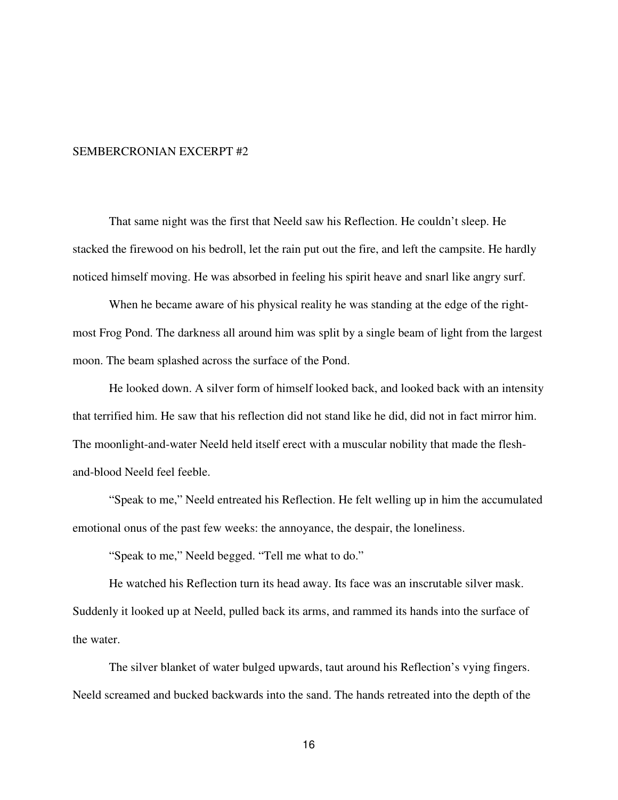#### SEMBERCRONIAN EXCERPT #2

That same night was the first that Neeld saw his Reflection. He couldn't sleep. He stacked the firewood on his bedroll, let the rain put out the fire, and left the campsite. He hardly noticed himself moving. He was absorbed in feeling his spirit heave and snarl like angry surf.

 When he became aware of his physical reality he was standing at the edge of the rightmost Frog Pond. The darkness all around him was split by a single beam of light from the largest moon. The beam splashed across the surface of the Pond.

 He looked down. A silver form of himself looked back, and looked back with an intensity that terrified him. He saw that his reflection did not stand like he did, did not in fact mirror him. The moonlight-and-water Neeld held itself erect with a muscular nobility that made the fleshand-blood Neeld feel feeble.

 "Speak to me," Neeld entreated his Reflection. He felt welling up in him the accumulated emotional onus of the past few weeks: the annoyance, the despair, the loneliness.

"Speak to me," Neeld begged. "Tell me what to do."

 He watched his Reflection turn its head away. Its face was an inscrutable silver mask. Suddenly it looked up at Neeld, pulled back its arms, and rammed its hands into the surface of the water.

 The silver blanket of water bulged upwards, taut around his Reflection's vying fingers. Neeld screamed and bucked backwards into the sand. The hands retreated into the depth of the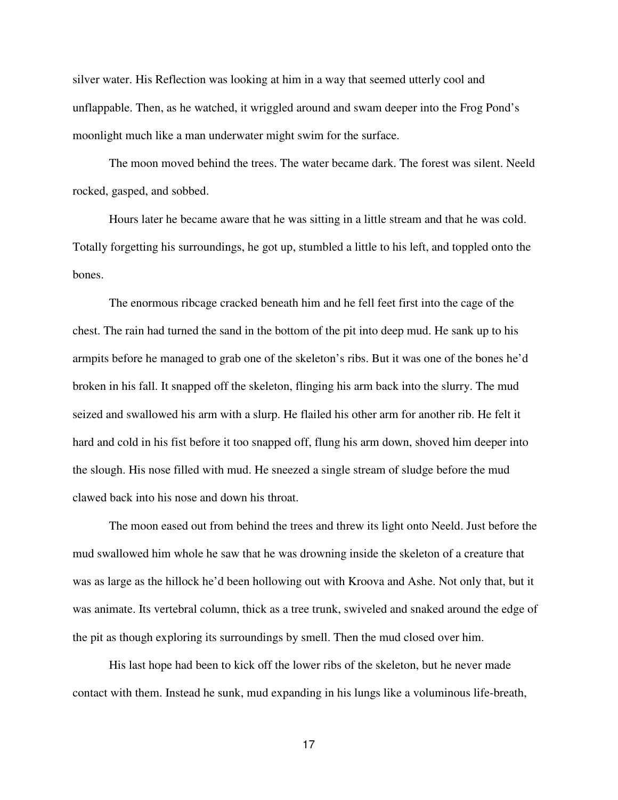silver water. His Reflection was looking at him in a way that seemed utterly cool and unflappable. Then, as he watched, it wriggled around and swam deeper into the Frog Pond's moonlight much like a man underwater might swim for the surface.

 The moon moved behind the trees. The water became dark. The forest was silent. Neeld rocked, gasped, and sobbed.

 Hours later he became aware that he was sitting in a little stream and that he was cold. Totally forgetting his surroundings, he got up, stumbled a little to his left, and toppled onto the bones.

 The enormous ribcage cracked beneath him and he fell feet first into the cage of the chest. The rain had turned the sand in the bottom of the pit into deep mud. He sank up to his armpits before he managed to grab one of the skeleton's ribs. But it was one of the bones he'd broken in his fall. It snapped off the skeleton, flinging his arm back into the slurry. The mud seized and swallowed his arm with a slurp. He flailed his other arm for another rib. He felt it hard and cold in his fist before it too snapped off, flung his arm down, shoved him deeper into the slough. His nose filled with mud. He sneezed a single stream of sludge before the mud clawed back into his nose and down his throat.

 The moon eased out from behind the trees and threw its light onto Neeld. Just before the mud swallowed him whole he saw that he was drowning inside the skeleton of a creature that was as large as the hillock he'd been hollowing out with Kroova and Ashe. Not only that, but it was animate. Its vertebral column, thick as a tree trunk, swiveled and snaked around the edge of the pit as though exploring its surroundings by smell. Then the mud closed over him.

 His last hope had been to kick off the lower ribs of the skeleton, but he never made contact with them. Instead he sunk, mud expanding in his lungs like a voluminous life-breath,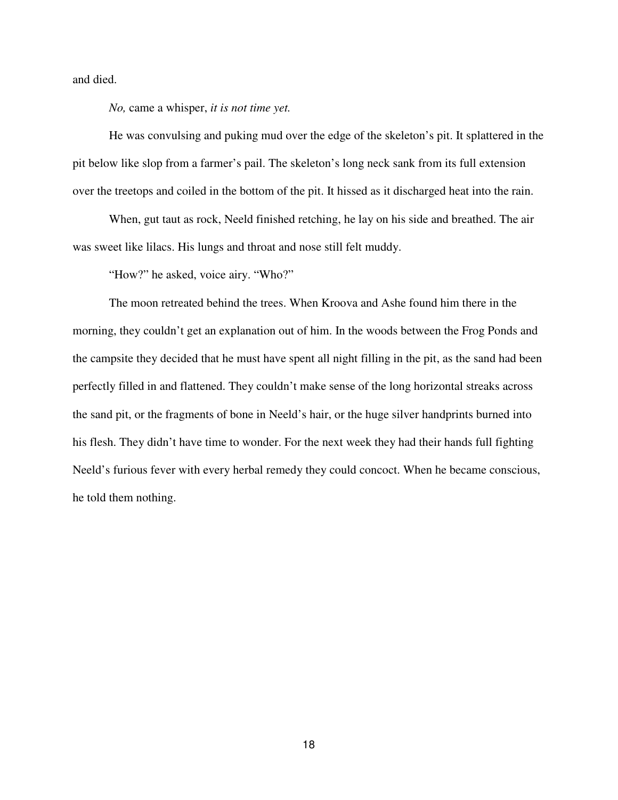and died.

*No,* came a whisper, *it is not time yet.*

 He was convulsing and puking mud over the edge of the skeleton's pit. It splattered in the pit below like slop from a farmer's pail. The skeleton's long neck sank from its full extension over the treetops and coiled in the bottom of the pit. It hissed as it discharged heat into the rain.

 When, gut taut as rock, Neeld finished retching, he lay on his side and breathed. The air was sweet like lilacs. His lungs and throat and nose still felt muddy.

"How?" he asked, voice airy. "Who?"

 The moon retreated behind the trees. When Kroova and Ashe found him there in the morning, they couldn't get an explanation out of him. In the woods between the Frog Ponds and the campsite they decided that he must have spent all night filling in the pit, as the sand had been perfectly filled in and flattened. They couldn't make sense of the long horizontal streaks across the sand pit, or the fragments of bone in Neeld's hair, or the huge silver handprints burned into his flesh. They didn't have time to wonder. For the next week they had their hands full fighting Neeld's furious fever with every herbal remedy they could concoct. When he became conscious, he told them nothing.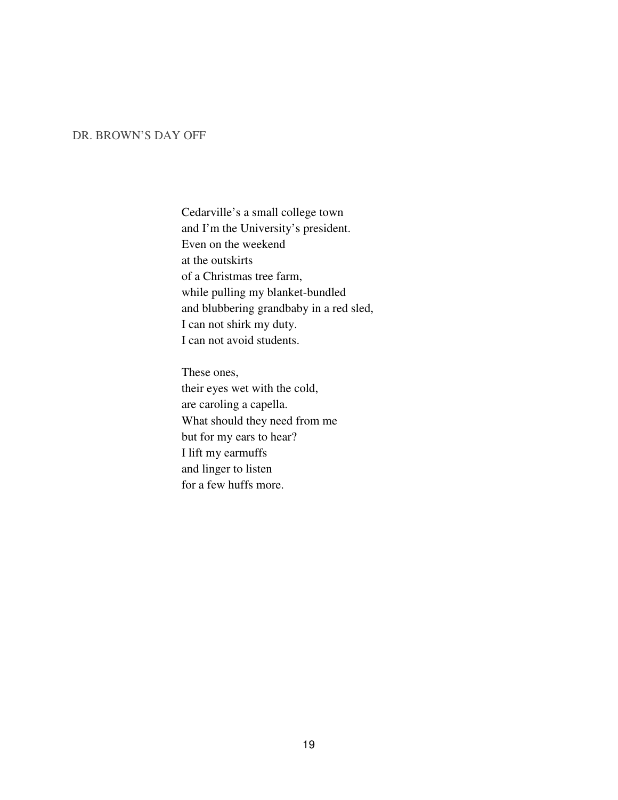## DR. BROWN'S DAY OFF

Cedarville's a small college town and I'm the University's president. Even on the weekend at the outskirts of a Christmas tree farm, while pulling my blanket-bundled and blubbering grandbaby in a red sled, I can not shirk my duty. I can not avoid students.

These ones, their eyes wet with the cold, are caroling a capella. What should they need from me but for my ears to hear? I lift my earmuffs and linger to listen for a few huffs more.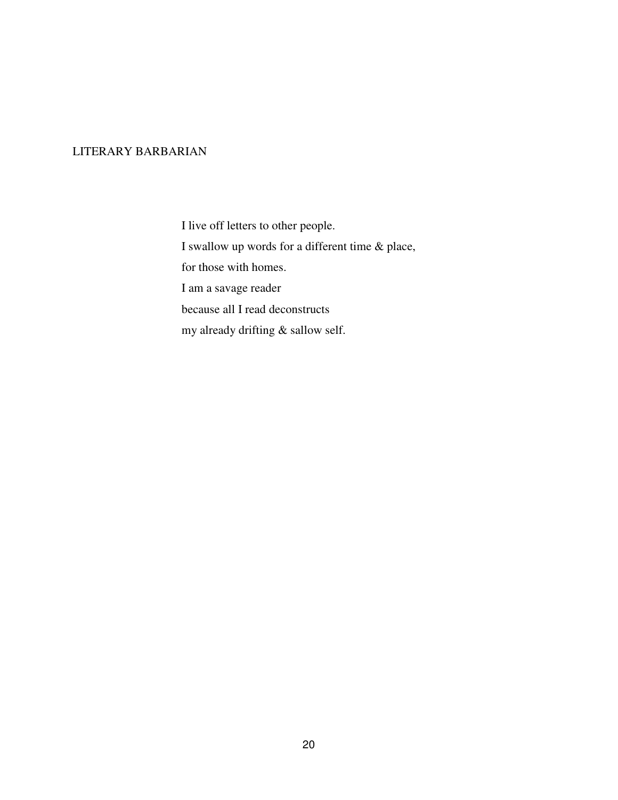## LITERARY BARBARIAN

I live off letters to other people. I swallow up words for a different time & place, for those with homes. I am a savage reader because all I read deconstructs my already drifting & sallow self.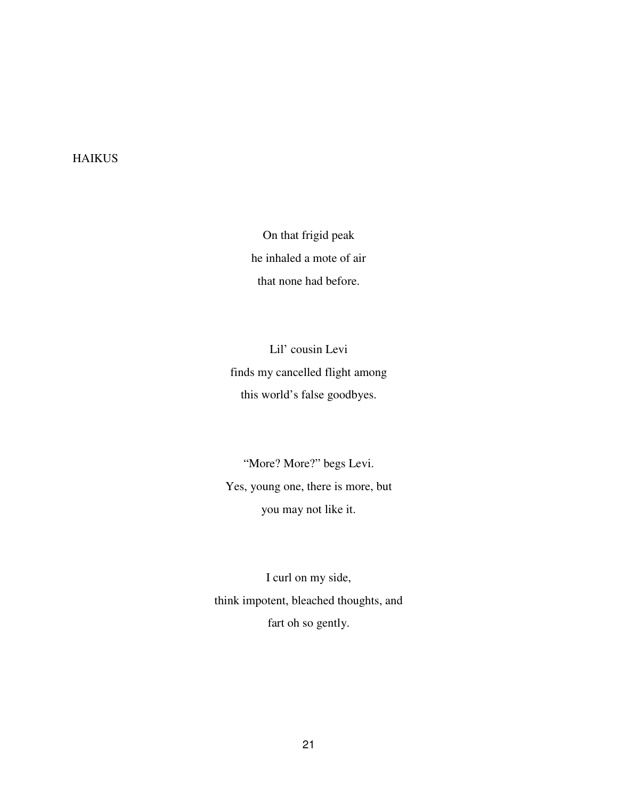# **HAIKUS**

On that frigid peak he inhaled a mote of air that none had before.

Lil' cousin Levi finds my cancelled flight among this world's false goodbyes.

"More? More?" begs Levi. Yes, young one, there is more, but you may not like it.

I curl on my side, think impotent, bleached thoughts, and fart oh so gently.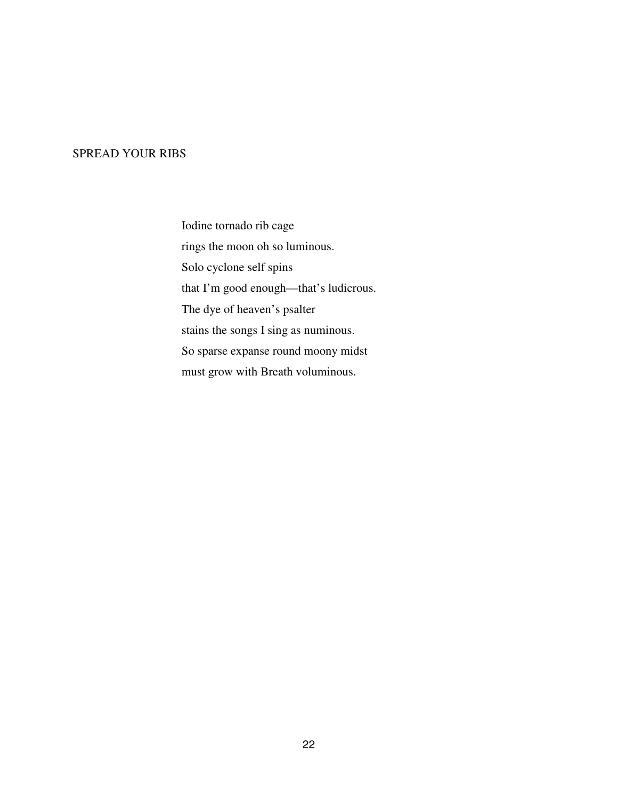## SPREAD YOUR RIBS

Iodine tornado rib cage rings the moon oh so luminous. Solo cyclone self spins that I'm good enough—that's ludicrous. The dye of heaven's psalter stains the songs I sing as numinous. So sparse expanse round moony midst must grow with Breath voluminous.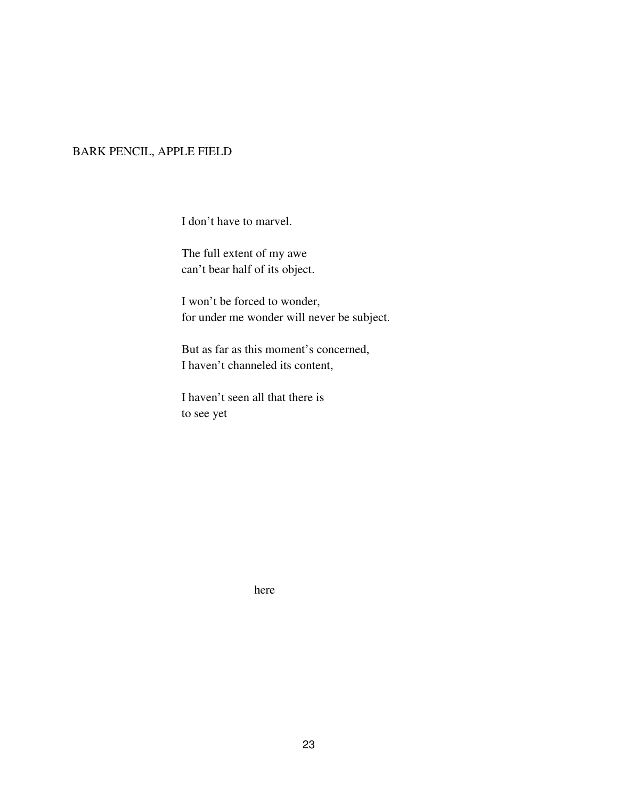# BARK PENCIL, APPLE FIELD

I don't have to marvel.

The full extent of my awe can't bear half of its object.

I won't be forced to wonder, for under me wonder will never be subject.

But as far as this moment's concerned, I haven't channeled its content,

I haven't seen all that there is to see yet

here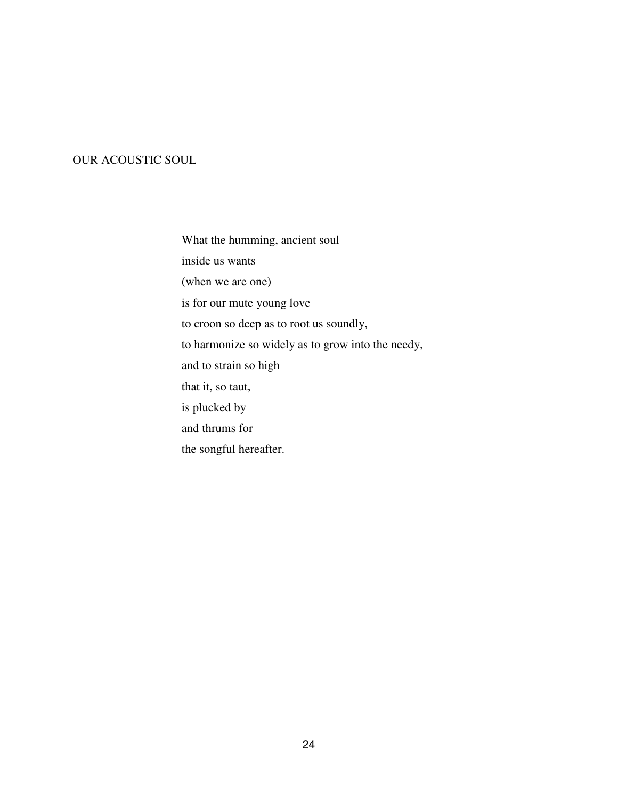# OUR ACOUSTIC SOUL

What the humming, ancient soul inside us wants (when we are one) is for our mute young love to croon so deep as to root us soundly, to harmonize so widely as to grow into the needy, and to strain so high that it, so taut, is plucked by and thrums for the songful hereafter.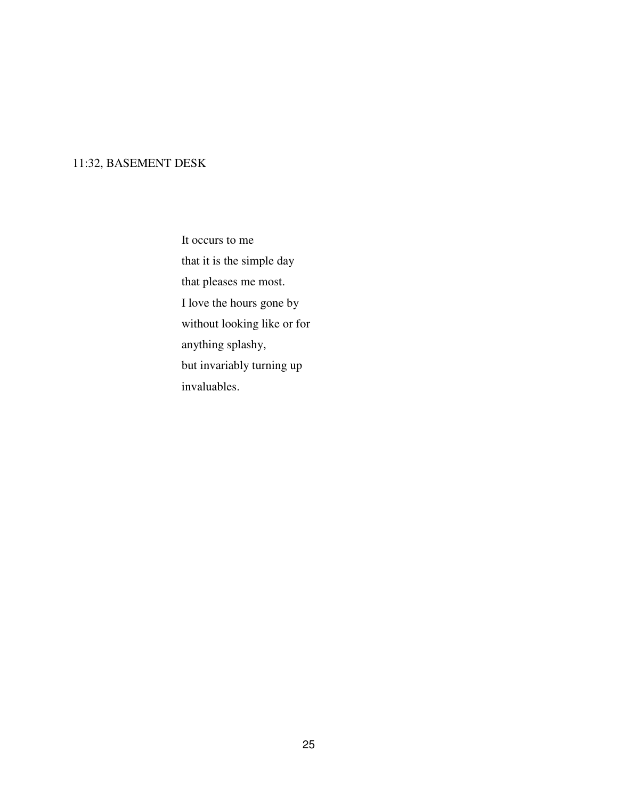# 11:32, BASEMENT DESK

It occurs to me that it is the simple day that pleases me most. I love the hours gone by without looking like or for anything splashy, but invariably turning up invaluables.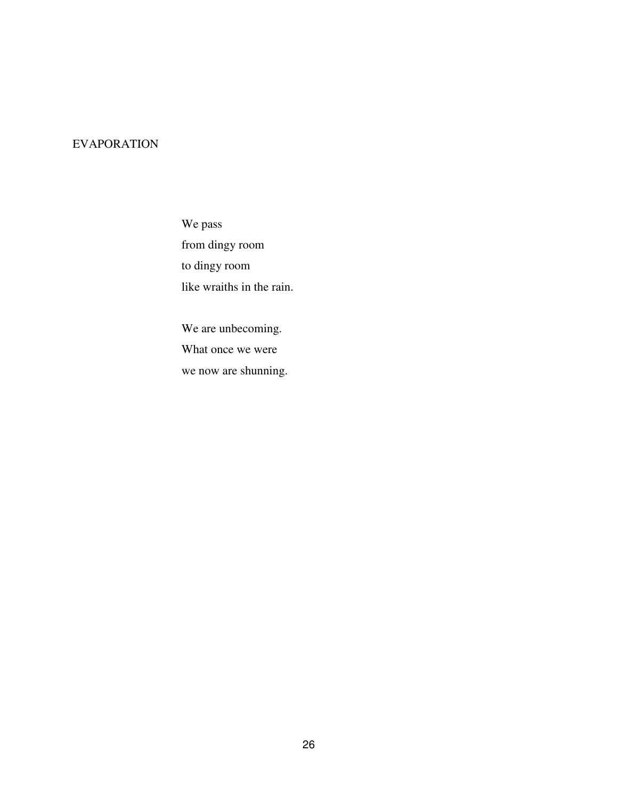# EVAPORATION

We pass from dingy room to dingy room like wraiths in the rain.

We are unbecoming. What once we were we now are shunning.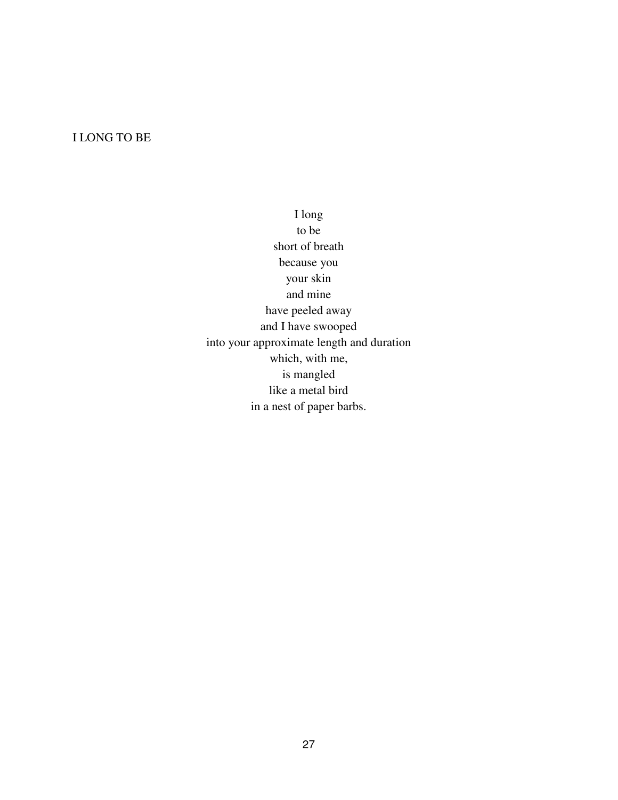# I LONG TO BE

I long to be short of breath because you your skin and mine have peeled away and I have swooped into your approximate length and duration which, with me, is mangled like a metal bird in a nest of paper barbs.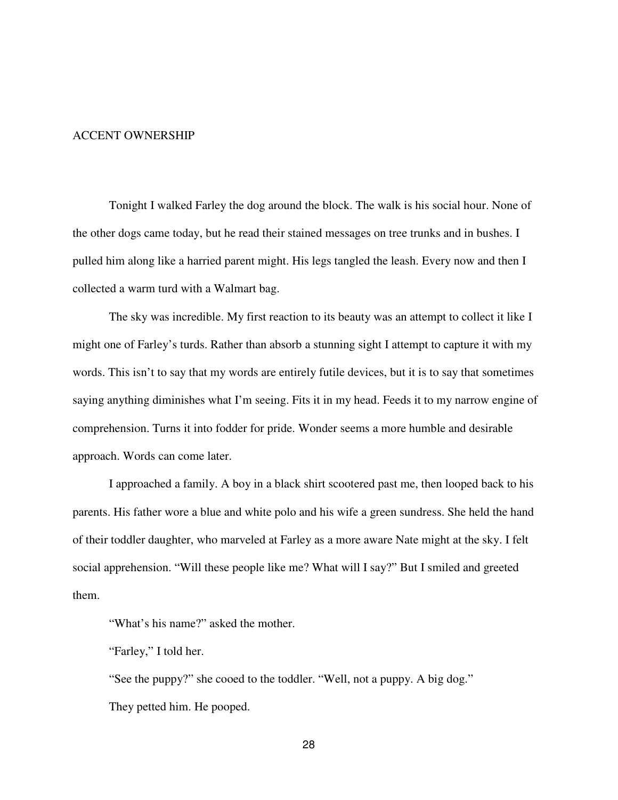## ACCENT OWNERSHIP

Tonight I walked Farley the dog around the block. The walk is his social hour. None of the other dogs came today, but he read their stained messages on tree trunks and in bushes. I pulled him along like a harried parent might. His legs tangled the leash. Every now and then I collected a warm turd with a Walmart bag.

 The sky was incredible. My first reaction to its beauty was an attempt to collect it like I might one of Farley's turds. Rather than absorb a stunning sight I attempt to capture it with my words. This isn't to say that my words are entirely futile devices, but it is to say that sometimes saying anything diminishes what I'm seeing. Fits it in my head. Feeds it to my narrow engine of comprehension. Turns it into fodder for pride. Wonder seems a more humble and desirable approach. Words can come later.

 I approached a family. A boy in a black shirt scootered past me, then looped back to his parents. His father wore a blue and white polo and his wife a green sundress. She held the hand of their toddler daughter, who marveled at Farley as a more aware Nate might at the sky. I felt social apprehension. "Will these people like me? What will I say?" But I smiled and greeted them.

"What's his name?" asked the mother.

"Farley," I told her.

 "See the puppy?" she cooed to the toddler. "Well, not a puppy. A big dog." They petted him. He pooped.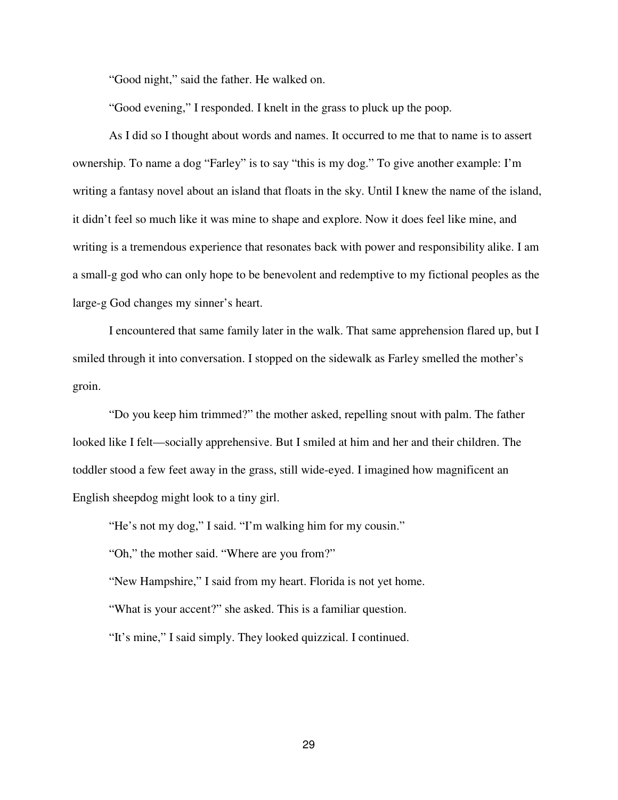"Good night," said the father. He walked on.

"Good evening," I responded. I knelt in the grass to pluck up the poop.

 As I did so I thought about words and names. It occurred to me that to name is to assert ownership. To name a dog "Farley" is to say "this is my dog." To give another example: I'm writing a fantasy novel about an island that floats in the sky. Until I knew the name of the island, it didn't feel so much like it was mine to shape and explore. Now it does feel like mine, and writing is a tremendous experience that resonates back with power and responsibility alike. I am a small-g god who can only hope to be benevolent and redemptive to my fictional peoples as the large-g God changes my sinner's heart.

 I encountered that same family later in the walk. That same apprehension flared up, but I smiled through it into conversation. I stopped on the sidewalk as Farley smelled the mother's groin.

 "Do you keep him trimmed?" the mother asked, repelling snout with palm. The father looked like I felt—socially apprehensive. But I smiled at him and her and their children. The toddler stood a few feet away in the grass, still wide-eyed. I imagined how magnificent an English sheepdog might look to a tiny girl.

"He's not my dog," I said. "I'm walking him for my cousin."

"Oh," the mother said. "Where are you from?"

"New Hampshire," I said from my heart. Florida is not yet home.

"What is your accent?" she asked. This is a familiar question.

"It's mine," I said simply. They looked quizzical. I continued.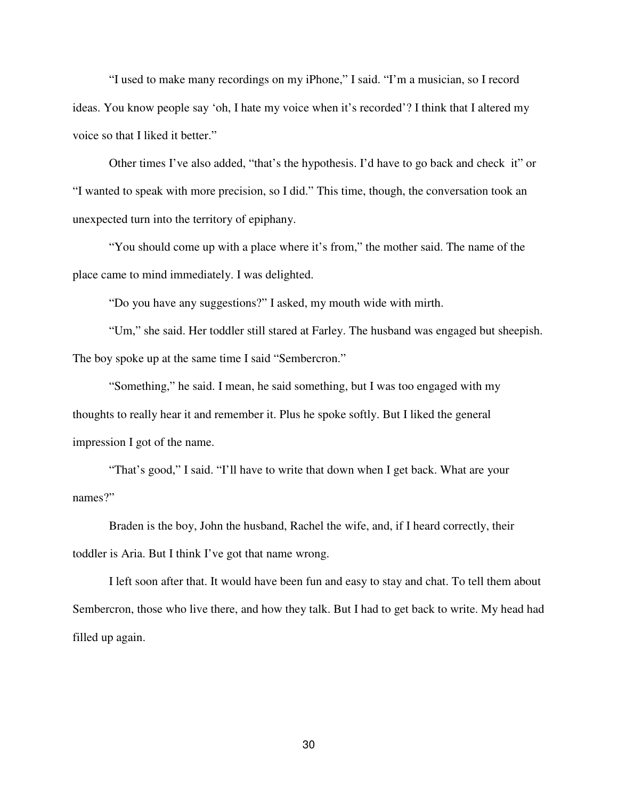"I used to make many recordings on my iPhone," I said. "I'm a musician, so I record ideas. You know people say 'oh, I hate my voice when it's recorded'? I think that I altered my voice so that I liked it better."

Other times I've also added, "that's the hypothesis. I'd have to go back and check it" or "I wanted to speak with more precision, so I did." This time, though, the conversation took an unexpected turn into the territory of epiphany.

"You should come up with a place where it's from," the mother said. The name of the place came to mind immediately. I was delighted.

"Do you have any suggestions?" I asked, my mouth wide with mirth.

"Um," she said. Her toddler still stared at Farley. The husband was engaged but sheepish. The boy spoke up at the same time I said "Sembercron."

"Something," he said. I mean, he said something, but I was too engaged with my thoughts to really hear it and remember it. Plus he spoke softly. But I liked the general impression I got of the name.

"That's good," I said. "I'll have to write that down when I get back. What are your names?"

Braden is the boy, John the husband, Rachel the wife, and, if I heard correctly, their toddler is Aria. But I think I've got that name wrong.

I left soon after that. It would have been fun and easy to stay and chat. To tell them about Sembercron, those who live there, and how they talk. But I had to get back to write. My head had filled up again.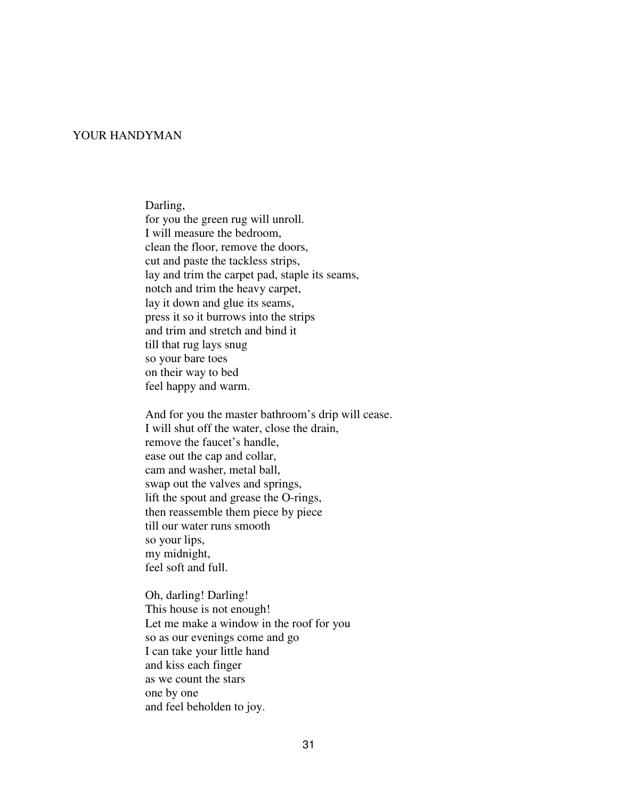## YOUR HANDYMAN

Darling,

 for you the green rug will unroll. I will measure the bedroom, clean the floor, remove the doors, cut and paste the tackless strips, lay and trim the carpet pad, staple its seams, notch and trim the heavy carpet, lay it down and glue its seams, press it so it burrows into the strips and trim and stretch and bind it till that rug lays snug so your bare toes on their way to bed feel happy and warm.

 And for you the master bathroom's drip will cease. I will shut off the water, close the drain, remove the faucet's handle, ease out the cap and collar, cam and washer, metal ball, swap out the valves and springs, lift the spout and grease the O-rings, then reassemble them piece by piece till our water runs smooth so your lips, my midnight, feel soft and full.

Oh, darling! Darling! This house is not enough! Let me make a window in the roof for you so as our evenings come and go I can take your little hand and kiss each finger as we count the stars one by one and feel beholden to joy.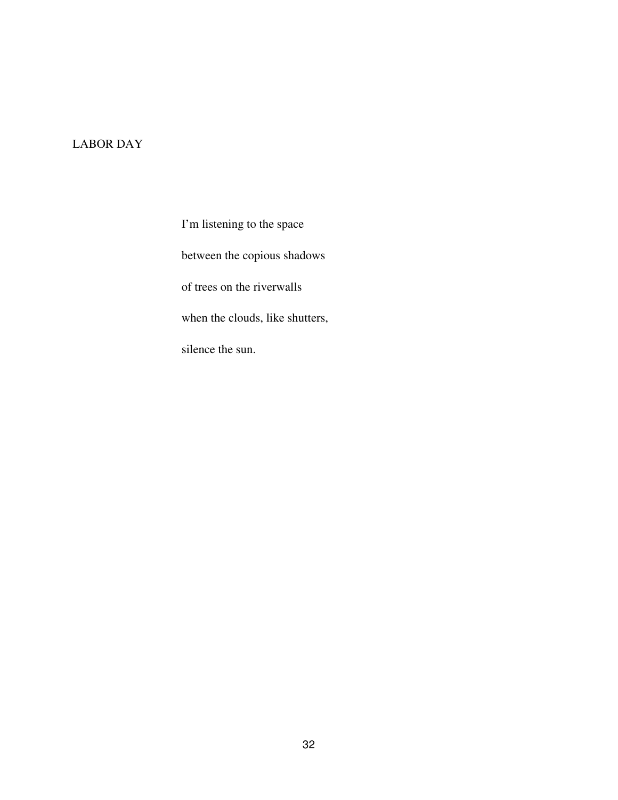# LABOR DAY

I'm listening to the space between the copious shadows of trees on the riverwalls when the clouds, like shutters, silence the sun.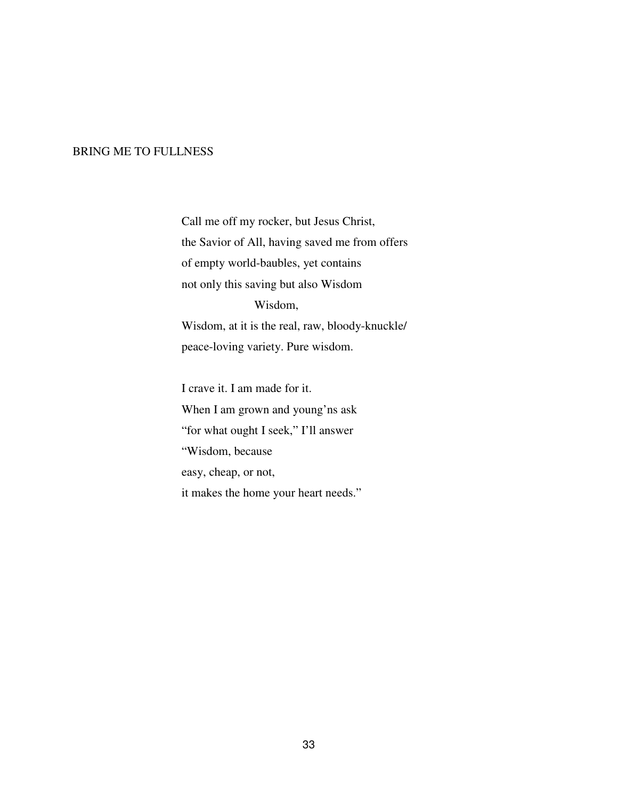## BRING ME TO FULLNESS

Call me off my rocker, but Jesus Christ, the Savior of All, having saved me from offers of empty world-baubles, yet contains not only this saving but also Wisdom Wisdom, Wisdom, at it is the real, raw, bloody-knuckle/ peace-loving variety. Pure wisdom.

I crave it. I am made for it. When I am grown and young'ns ask "for what ought I seek," I'll answer "Wisdom, because easy, cheap, or not, it makes the home your heart needs."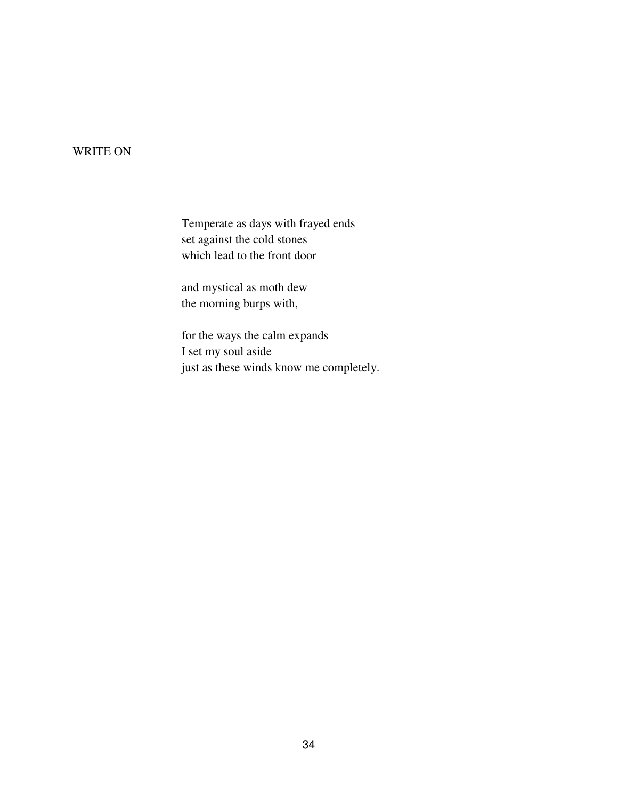# WRITE ON

Temperate as days with frayed ends set against the cold stones which lead to the front door

and mystical as moth dew the morning burps with,

for the ways the calm expands I set my soul aside just as these winds know me completely.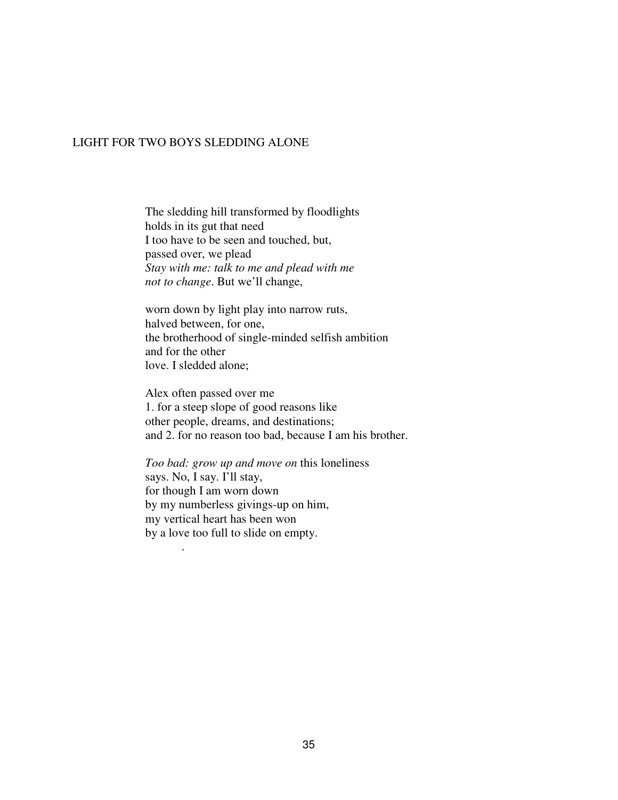#### LIGHT FOR TWO BOYS SLEDDING ALONE

 The sledding hill transformed by floodlights holds in its gut that need I too have to be seen and touched, but, passed over, we plead *Stay with me: talk to me and plead with me not to change*. But we'll change,

 worn down by light play into narrow ruts, halved between, for one, the brotherhood of single-minded selfish ambition and for the other love. I sledded alone;

 Alex often passed over me 1. for a steep slope of good reasons like other people, dreams, and destinations; and 2. for no reason too bad, because I am his brother.

 *Too bad: grow up and move on* this loneliness says. No, I say. I'll stay, for though I am worn down by my numberless givings-up on him, my vertical heart has been won by a love too full to slide on empty.

.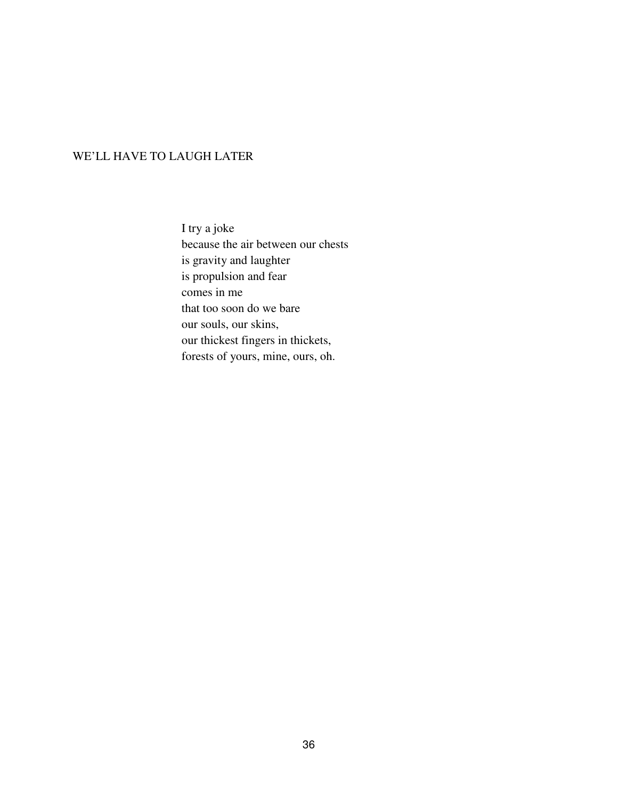# WE'LL HAVE TO LAUGH LATER

I try a joke because the air between our chests is gravity and laughter is propulsion and fear comes in me that too soon do we bare our souls, our skins, our thickest fingers in thickets, forests of yours, mine, ours, oh.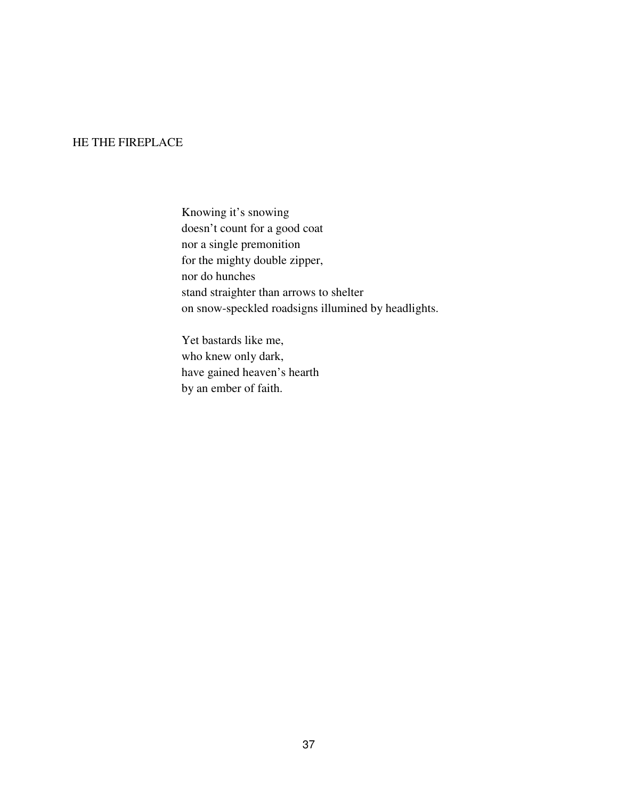## HE THE FIREPLACE

Knowing it's snowing doesn't count for a good coat nor a single premonition for the mighty double zipper, nor do hunches stand straighter than arrows to shelter on snow-speckled roadsigns illumined by headlights.

Yet bastards like me, who knew only dark, have gained heaven's hearth by an ember of faith.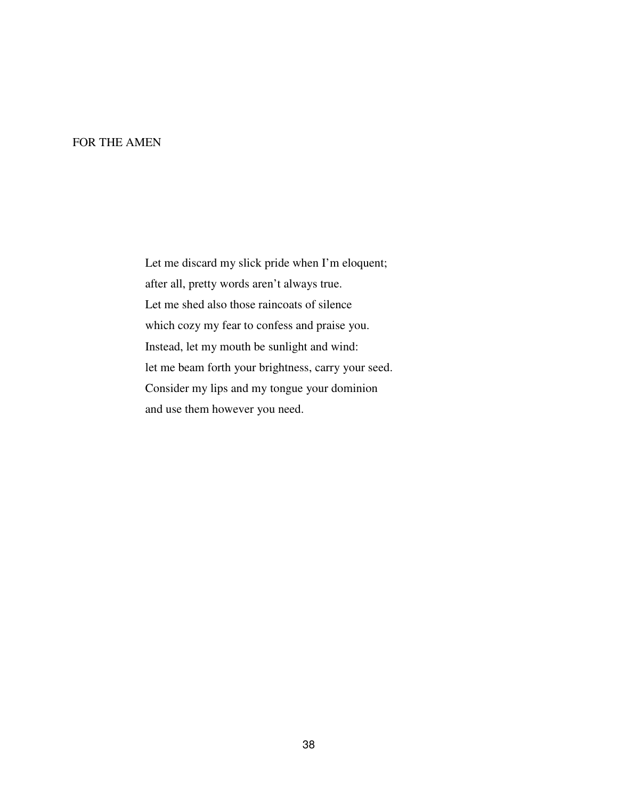#### FOR THE AMEN

 Let me discard my slick pride when I'm eloquent; after all, pretty words aren't always true. Let me shed also those raincoats of silence which cozy my fear to confess and praise you. Instead, let my mouth be sunlight and wind: let me beam forth your brightness, carry your seed. Consider my lips and my tongue your dominion and use them however you need.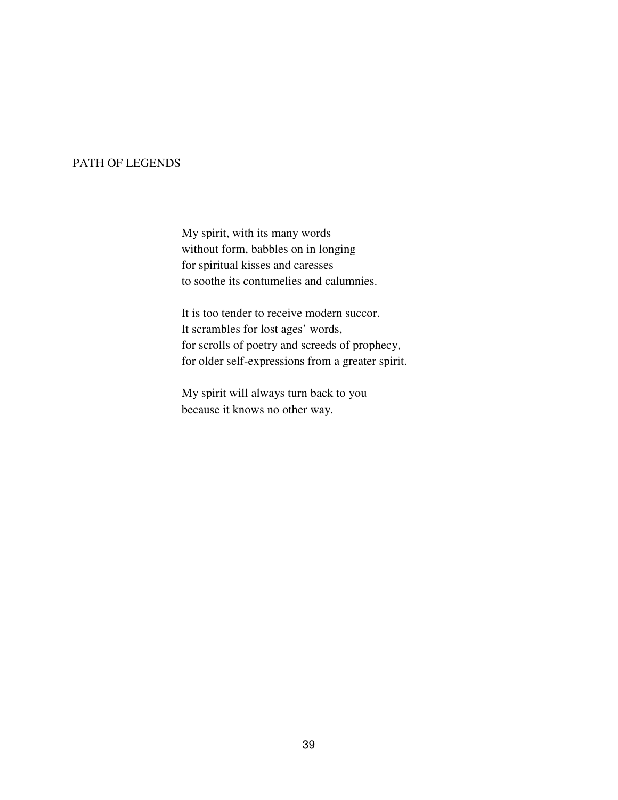# PATH OF LEGENDS

My spirit, with its many words without form, babbles on in longing for spiritual kisses and caresses to soothe its contumelies and calumnies.

It is too tender to receive modern succor. It scrambles for lost ages' words, for scrolls of poetry and screeds of prophecy, for older self-expressions from a greater spirit.

My spirit will always turn back to you because it knows no other way.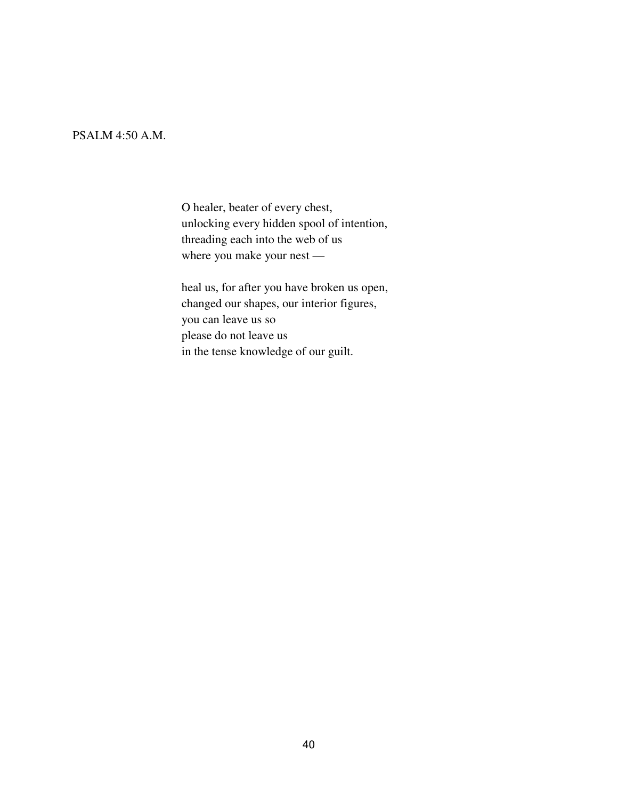# PSALM 4:50 A.M.

O healer, beater of every chest, unlocking every hidden spool of intention, threading each into the web of us where you make your nest —

heal us, for after you have broken us open, changed our shapes, our interior figures, you can leave us so please do not leave us in the tense knowledge of our guilt.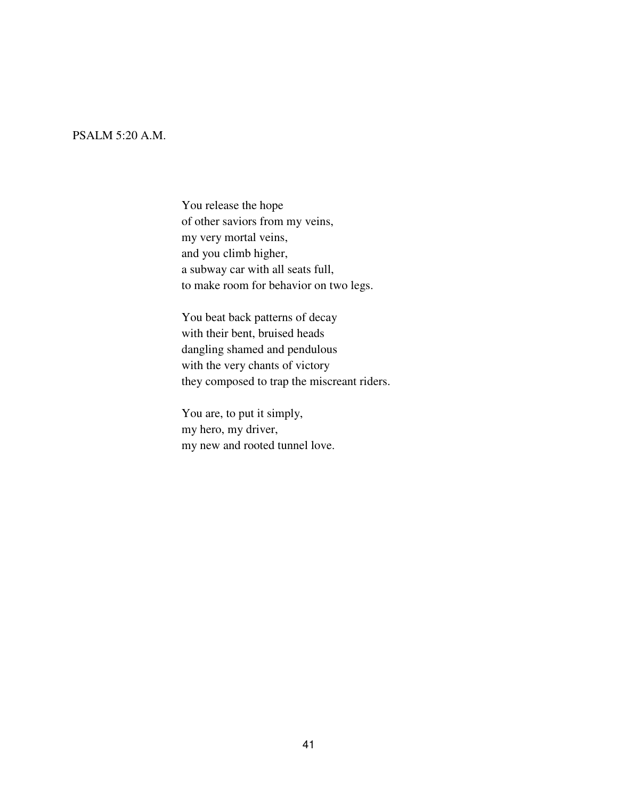# PSALM 5:20 A.M.

You release the hope of other saviors from my veins, my very mortal veins, and you climb higher, a subway car with all seats full, to make room for behavior on two legs.

You beat back patterns of decay with their bent, bruised heads dangling shamed and pendulous with the very chants of victory they composed to trap the miscreant riders.

You are, to put it simply, my hero, my driver, my new and rooted tunnel love.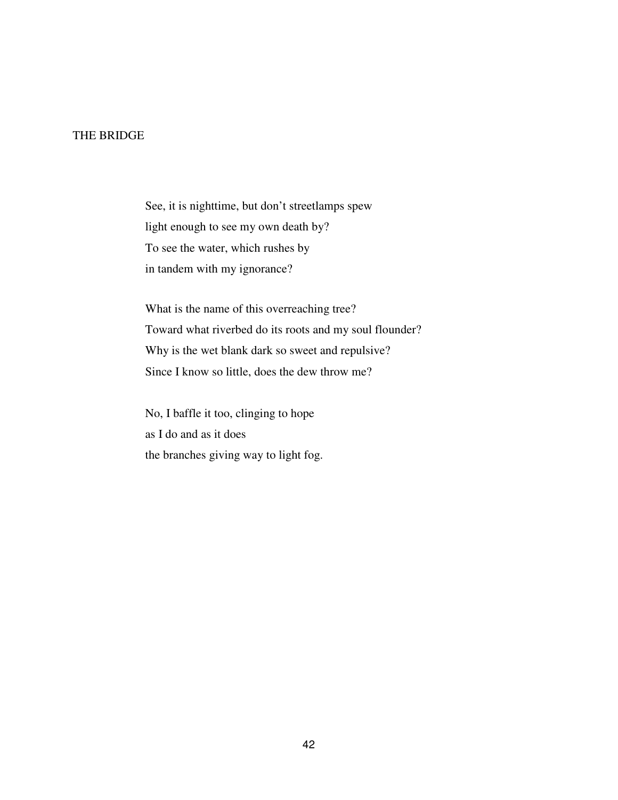# THE BRIDGE

See, it is nighttime, but don't streetlamps spew light enough to see my own death by? To see the water, which rushes by in tandem with my ignorance?

What is the name of this overreaching tree? Toward what riverbed do its roots and my soul flounder? Why is the wet blank dark so sweet and repulsive? Since I know so little, does the dew throw me?

No, I baffle it too, clinging to hope as I do and as it does the branches giving way to light fog.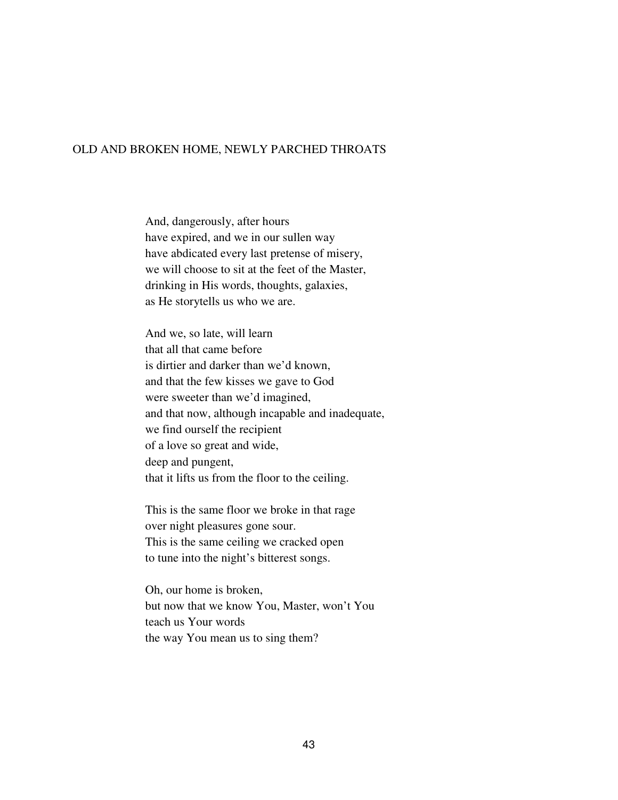#### OLD AND BROKEN HOME, NEWLY PARCHED THROATS

 And, dangerously, after hours have expired, and we in our sullen way have abdicated every last pretense of misery, we will choose to sit at the feet of the Master, drinking in His words, thoughts, galaxies, as He storytells us who we are.

 And we, so late, will learn that all that came before is dirtier and darker than we'd known, and that the few kisses we gave to God were sweeter than we'd imagined, and that now, although incapable and inadequate, we find ourself the recipient of a love so great and wide, deep and pungent, that it lifts us from the floor to the ceiling.

 This is the same floor we broke in that rage over night pleasures gone sour. This is the same ceiling we cracked open to tune into the night's bitterest songs.

 Oh, our home is broken, but now that we know You, Master, won't You teach us Your words the way You mean us to sing them?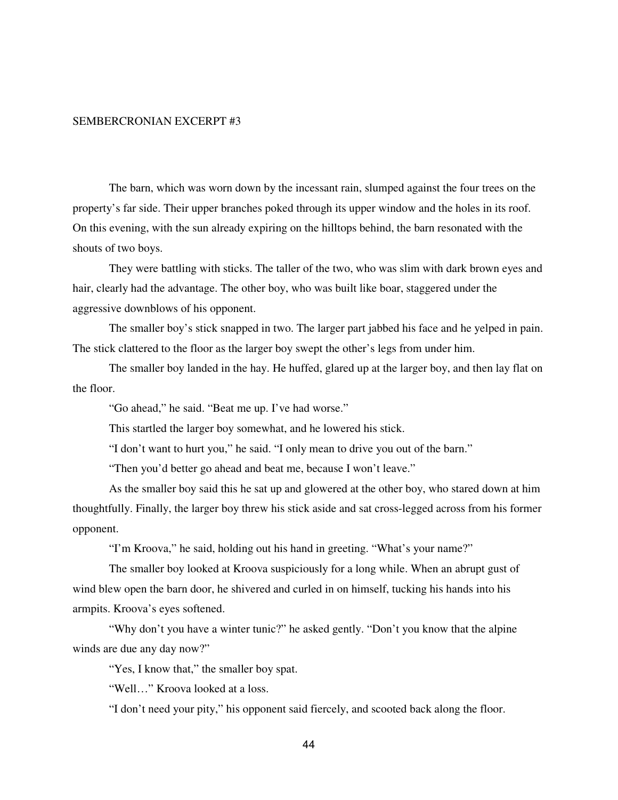#### SEMBERCRONIAN EXCERPT #3

The barn, which was worn down by the incessant rain, slumped against the four trees on the property's far side. Their upper branches poked through its upper window and the holes in its roof. On this evening, with the sun already expiring on the hilltops behind, the barn resonated with the shouts of two boys.

They were battling with sticks. The taller of the two, who was slim with dark brown eyes and hair, clearly had the advantage. The other boy, who was built like boar, staggered under the aggressive downblows of his opponent.

The smaller boy's stick snapped in two. The larger part jabbed his face and he yelped in pain. The stick clattered to the floor as the larger boy swept the other's legs from under him.

The smaller boy landed in the hay. He huffed, glared up at the larger boy, and then lay flat on the floor.

"Go ahead," he said. "Beat me up. I've had worse."

This startled the larger boy somewhat, and he lowered his stick.

"I don't want to hurt you," he said. "I only mean to drive you out of the barn."

"Then you'd better go ahead and beat me, because I won't leave."

As the smaller boy said this he sat up and glowered at the other boy, who stared down at him thoughtfully. Finally, the larger boy threw his stick aside and sat cross-legged across from his former opponent.

"I'm Kroova," he said, holding out his hand in greeting. "What's your name?"

The smaller boy looked at Kroova suspiciously for a long while. When an abrupt gust of wind blew open the barn door, he shivered and curled in on himself, tucking his hands into his armpits. Kroova's eyes softened.

"Why don't you have a winter tunic?" he asked gently. "Don't you know that the alpine winds are due any day now?"

"Yes, I know that," the smaller boy spat.

"Well…" Kroova looked at a loss.

"I don't need your pity," his opponent said fiercely, and scooted back along the floor.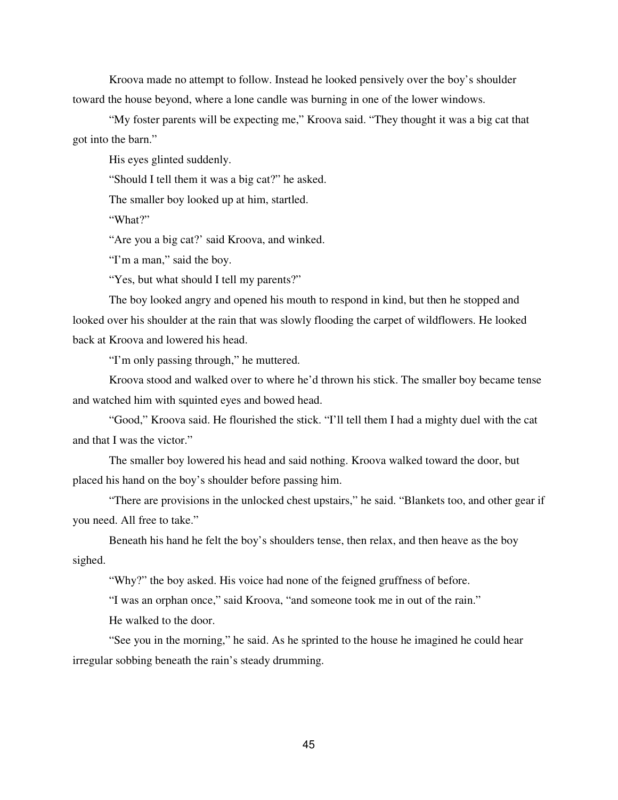Kroova made no attempt to follow. Instead he looked pensively over the boy's shoulder toward the house beyond, where a lone candle was burning in one of the lower windows.

"My foster parents will be expecting me," Kroova said. "They thought it was a big cat that got into the barn."

His eyes glinted suddenly.

"Should I tell them it was a big cat?" he asked.

The smaller boy looked up at him, startled.

"What?"

"Are you a big cat?' said Kroova, and winked.

"I'm a man," said the boy.

"Yes, but what should I tell my parents?"

The boy looked angry and opened his mouth to respond in kind, but then he stopped and looked over his shoulder at the rain that was slowly flooding the carpet of wildflowers. He looked back at Kroova and lowered his head.

"I'm only passing through," he muttered.

Kroova stood and walked over to where he'd thrown his stick. The smaller boy became tense and watched him with squinted eyes and bowed head.

"Good," Kroova said. He flourished the stick. "I'll tell them I had a mighty duel with the cat and that I was the victor."

The smaller boy lowered his head and said nothing. Kroova walked toward the door, but placed his hand on the boy's shoulder before passing him.

"There are provisions in the unlocked chest upstairs," he said. "Blankets too, and other gear if you need. All free to take."

Beneath his hand he felt the boy's shoulders tense, then relax, and then heave as the boy sighed.

"Why?" the boy asked. His voice had none of the feigned gruffness of before.

"I was an orphan once," said Kroova, "and someone took me in out of the rain."

He walked to the door.

"See you in the morning," he said. As he sprinted to the house he imagined he could hear irregular sobbing beneath the rain's steady drumming.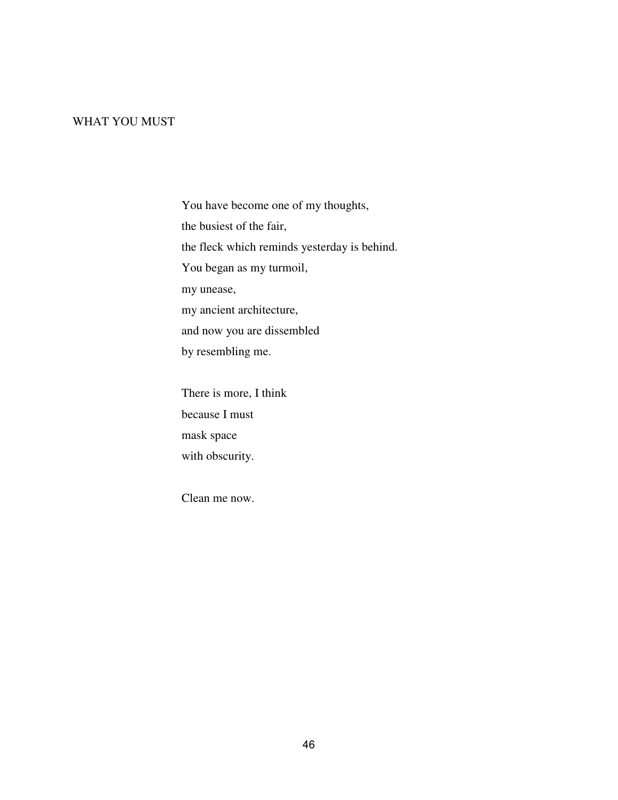## WHAT YOU MUST

You have become one of my thoughts, the busiest of the fair, the fleck which reminds yesterday is behind. You began as my turmoil, my unease, my ancient architecture, and now you are dissembled by resembling me.

There is more, I think because I must mask space with obscurity.

Clean me now.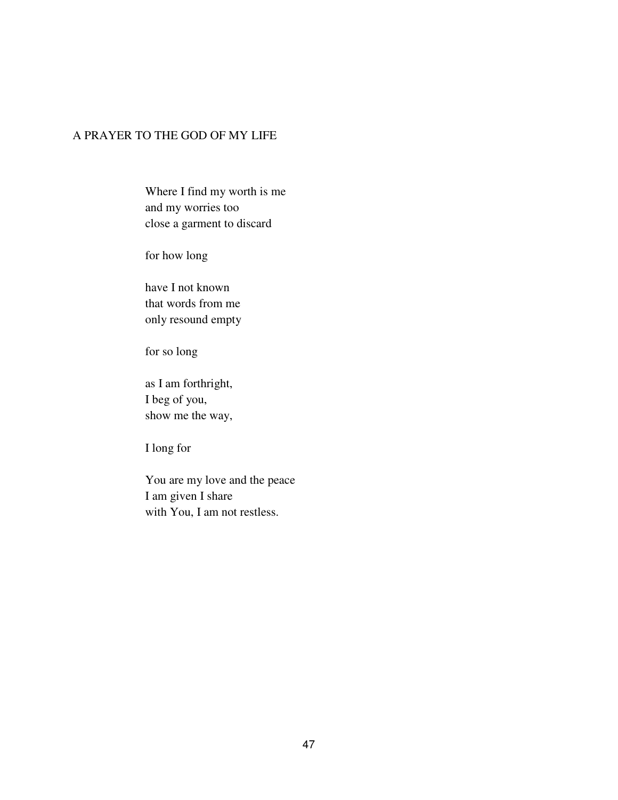# A PRAYER TO THE GOD OF MY LIFE

Where I find my worth is me and my worries too close a garment to discard

for how long

have I not known that words from me only resound empty

for so long

as I am forthright, I beg of you, show me the way,

I long for

You are my love and the peace I am given I share with You, I am not restless.